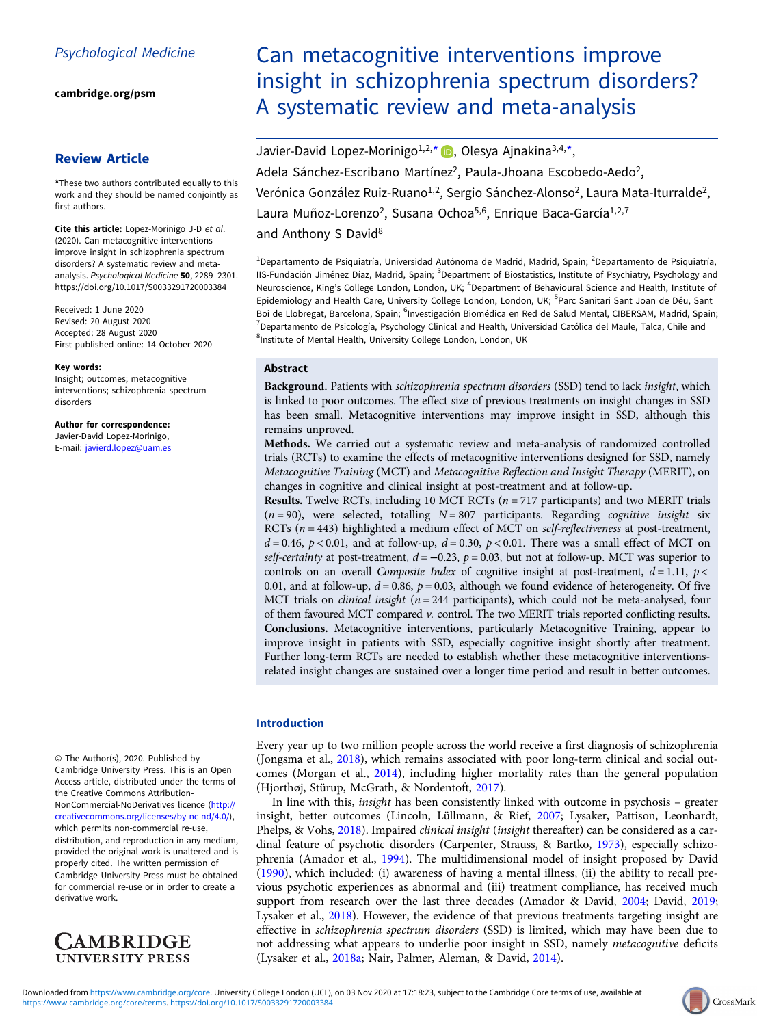[cambridge.org/psm](https://www.cambridge.org/psm)

# Review Article

\*These two authors contributed equally to this work and they should be named conjointly as first authors.

Cite this article: Lopez-Morinigo J-D et al. (2020). Can metacognitive interventions improve insight in schizophrenia spectrum disorders? A systematic review and metaanalysis. Psychological Medicine 50, 2289–2301. <https://doi.org/10.1017/S0033291720003384>

Received: 1 June 2020 Revised: 20 August 2020 Accepted: 28 August 2020 First published online: 14 October 2020

#### Key words:

Insight; outcomes; metacognitive interventions; schizophrenia spectrum disorders

Author for correspondence: Javier-David Lopez-Morinigo, E-mail: [javierd.lopez@uam.es](mailto:javierd.lopez@uam.es)

© The Author(s), 2020. Published by Cambridge University Press. This is an Open Access article, distributed under the terms of the Creative Commons Attribution-NonCommercial-NoDerivatives licence [\(http://](http://creativecommons.org/licenses/by-nc-nd/4.0/) [creativecommons.org/licenses/by-nc-nd/4.0/\)](http://creativecommons.org/licenses/by-nc-nd/4.0/), which permits non-commercial re-use, distribution, and reproduction in any medium, provided the original work is unaltered and is properly cited. The written permission of Cambridge University Press must be obtained for commercial re-use or in order to create a derivative work.



# Can metacognitive interventions improve insight in schizophrenia spectrum disorders? A systematic review and meta-analysis

Javier-David Lopez-Morinigo<sup>1[,](https://orcid.org/0000-0002-4264-2664)2,\*</sup> D. Olesya Ajnakina<sup>3,4,\*</sup>, Adela Sánchez-Escribano Martínez<sup>2</sup>, Paula-Jhoana Escobedo-Aedo<sup>2</sup>, Verónica González Ruiz-Ruano<sup>1,2</sup>, Sergio Sánchez-Alonso<sup>2</sup>, Laura Mata-Iturralde<sup>2</sup>, Laura Muñoz-Lorenzo<sup>2</sup>, Susana Ochoa<sup>5,6</sup>, Enrique Baca-García<sup>1,2,7</sup> and Anthony S David<sup>8</sup>

<sup>1</sup> Departamento de Psiquiatría, Universidad Autónoma de Madrid, Madrid, Spain; <sup>2</sup> Departamento de Psiquiatría, IIS-Fundación Jiménez Díaz, Madrid, Spain; <sup>3</sup>Department of Biostatistics, Institute of Psychiatry, Psychology and Neuroscience, King's College London, London, UK; <sup>4</sup>Department of Behavioural Science and Health, Institute of Epidemiology and Health Care, University College London, London, UK; <sup>5</sup>Parc Sanitari Sant Joan de Déu, Sant Boi de Llobregat, Barcelona, Spain; <sup>6</sup>Investigación Biomédica en Red de Salud Mental, CIBERSAM, Madrid, Spain; <sup>7</sup> Departamento de Psicología, Psychology Clinical and Health, Universidad Católica del Maule, Talca, Chile and <sup>8</sup>Institute of Mental Health, University College London, London, UK

### Abstract

Background. Patients with schizophrenia spectrum disorders (SSD) tend to lack insight, which is linked to poor outcomes. The effect size of previous treatments on insight changes in SSD has been small. Metacognitive interventions may improve insight in SSD, although this remains unproved.

Methods. We carried out a systematic review and meta-analysis of randomized controlled trials (RCTs) to examine the effects of metacognitive interventions designed for SSD, namely Metacognitive Training (MCT) and Metacognitive Reflection and Insight Therapy (MERIT), on changes in cognitive and clinical insight at post-treatment and at follow-up.

**Results.** Twelve RCTs, including 10 MCT RCTs ( $n = 717$  participants) and two MERIT trials  $(n = 90)$ , were selected, totalling  $N = 807$  participants. Regarding cognitive insight six RCTs ( $n = 443$ ) highlighted a medium effect of MCT on *self-reflectiveness* at post-treatment,  $d = 0.46$ ,  $p < 0.01$ , and at follow-up,  $d = 0.30$ ,  $p < 0.01$ . There was a small effect of MCT on self-certainty at post-treatment,  $d = -0.23$ ,  $p = 0.03$ , but not at follow-up. MCT was superior to controls on an overall Composite Index of cognitive insight at post-treatment,  $d = 1.11$ ,  $p <$ 0.01, and at follow-up,  $d = 0.86$ ,  $p = 0.03$ , although we found evidence of heterogeneity. Of five MCT trials on *clinical insight* ( $n = 244$  participants), which could not be meta-analysed, four of them favoured MCT compared v. control. The two MERIT trials reported conflicting results. Conclusions. Metacognitive interventions, particularly Metacognitive Training, appear to improve insight in patients with SSD, especially cognitive insight shortly after treatment. Further long-term RCTs are needed to establish whether these metacognitive interventionsrelated insight changes are sustained over a longer time period and result in better outcomes.

### Introduction

Every year up to two million people across the world receive a first diagnosis of schizophrenia (Jongsma et al., [2018\)](#page-11-0), which remains associated with poor long-term clinical and social outcomes (Morgan et al., [2014\)](#page-12-0), including higher mortality rates than the general population (Hjorthøj, Stürup, McGrath, & Nordentoft, [2017](#page-11-0)).

In line with this, insight has been consistently linked with outcome in psychosis – greater insight, better outcomes (Lincoln, Lüllmann, & Rief, [2007;](#page-11-0) Lysaker, Pattison, Leonhardt, Phelps, & Vohs, [2018\)](#page-12-0). Impaired clinical insight (insight thereafter) can be considered as a cardinal feature of psychotic disorders (Carpenter, Strauss, & Bartko, [1973\)](#page-11-0), especially schizophrenia (Amador et al., [1994](#page-10-0)). The multidimensional model of insight proposed by David ([1990\)](#page-11-0), which included: (i) awareness of having a mental illness, (ii) the ability to recall previous psychotic experiences as abnormal and (iii) treatment compliance, has received much support from research over the last three decades (Amador & David, [2004;](#page-10-0) David, [2019](#page-11-0); Lysaker et al., [2018](#page-12-0)). However, the evidence of that previous treatments targeting insight are effective in schizophrenia spectrum disorders (SSD) is limited, which may have been due to not addressing what appears to underlie poor insight in SSD, namely metacognitive deficits (Lysaker et al., [2018a;](#page-12-0) Nair, Palmer, Aleman, & David, [2014\)](#page-12-0).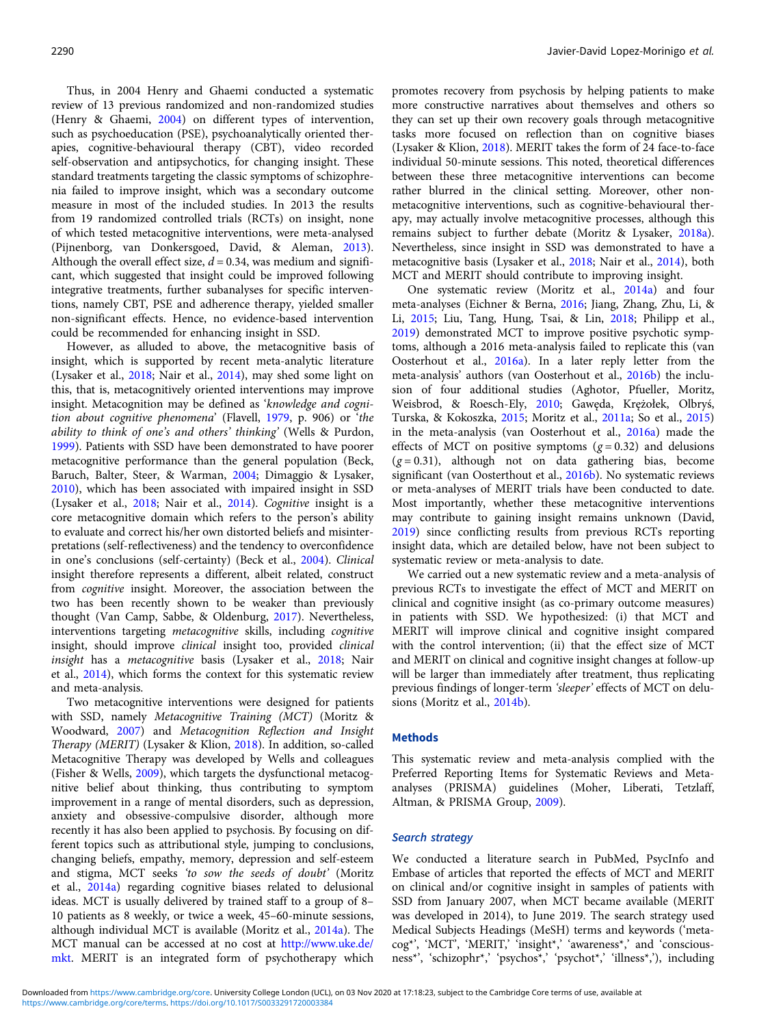Thus, in 2004 Henry and Ghaemi conducted a systematic review of 13 previous randomized and non-randomized studies (Henry & Ghaemi, [2004\)](#page-11-0) on different types of intervention, such as psychoeducation (PSE), psychoanalytically oriented therapies, cognitive-behavioural therapy (CBT), video recorded self-observation and antipsychotics, for changing insight. These standard treatments targeting the classic symptoms of schizophrenia failed to improve insight, which was a secondary outcome measure in most of the included studies. In 2013 the results from 19 randomized controlled trials (RCTs) on insight, none of which tested metacognitive interventions, were meta-analysed (Pijnenborg, van Donkersgoed, David, & Aleman, [2013\)](#page-12-0). Although the overall effect size,  $d = 0.34$ , was medium and significant, which suggested that insight could be improved following integrative treatments, further subanalyses for specific interventions, namely CBT, PSE and adherence therapy, yielded smaller non-significant effects. Hence, no evidence-based intervention could be recommended for enhancing insight in SSD.

However, as alluded to above, the metacognitive basis of insight, which is supported by recent meta-analytic literature (Lysaker et al., [2018;](#page-12-0) Nair et al., [2014](#page-12-0)), may shed some light on this, that is, metacognitively oriented interventions may improve insight. Metacognition may be defined as 'knowledge and cognition about cognitive phenomena' (Flavell, [1979](#page-11-0), p. 906) or 'the ability to think of one's and others' thinking' (Wells & Purdon, [1999\)](#page-12-0). Patients with SSD have been demonstrated to have poorer metacognitive performance than the general population (Beck, Baruch, Balter, Steer, & Warman, [2004](#page-11-0); Dimaggio & Lysaker, [2010\)](#page-11-0), which has been associated with impaired insight in SSD (Lysaker et al., [2018](#page-12-0); Nair et al., [2014](#page-12-0)). Cognitive insight is a core metacognitive domain which refers to the person's ability to evaluate and correct his/her own distorted beliefs and misinterpretations (self-reflectiveness) and the tendency to overconfidence in one's conclusions (self-certainty) (Beck et al., [2004\)](#page-11-0). Clinical insight therefore represents a different, albeit related, construct from cognitive insight. Moreover, the association between the two has been recently shown to be weaker than previously thought (Van Camp, Sabbe, & Oldenburg, [2017\)](#page-12-0). Nevertheless, interventions targeting metacognitive skills, including cognitive insight, should improve clinical insight too, provided clinical insight has a metacognitive basis (Lysaker et al., [2018](#page-12-0); Nair et al., [2014\)](#page-12-0), which forms the context for this systematic review and meta-analysis.

Two metacognitive interventions were designed for patients with SSD, namely Metacognitive Training (MCT) (Moritz & Woodward, [2007\)](#page-12-0) and Metacognition Reflection and Insight Therapy (MERIT) (Lysaker & Klion, [2018\)](#page-12-0). In addition, so-called Metacognitive Therapy was developed by Wells and colleagues (Fisher & Wells, [2009](#page-11-0)), which targets the dysfunctional metacognitive belief about thinking, thus contributing to symptom improvement in a range of mental disorders, such as depression, anxiety and obsessive-compulsive disorder, although more recently it has also been applied to psychosis. By focusing on different topics such as attributional style, jumping to conclusions, changing beliefs, empathy, memory, depression and self-esteem and stigma, MCT seeks 'to sow the seeds of doubt' (Moritz et al., [2014a](#page-12-0)) regarding cognitive biases related to delusional ideas. MCT is usually delivered by trained staff to a group of 8– 10 patients as 8 weekly, or twice a week, 45–60-minute sessions, although individual MCT is available (Moritz et al., [2014a\)](#page-12-0). The MCT manual can be accessed at no cost at [http://www.uke.de/](http://www.uke.de/mkt) [mkt.](http://www.uke.de/mkt) MERIT is an integrated form of psychotherapy which

promotes recovery from psychosis by helping patients to make more constructive narratives about themselves and others so they can set up their own recovery goals through metacognitive tasks more focused on reflection than on cognitive biases (Lysaker & Klion, [2018](#page-12-0)). MERIT takes the form of 24 face-to-face individual 50-minute sessions. This noted, theoretical differences between these three metacognitive interventions can become rather blurred in the clinical setting. Moreover, other nonmetacognitive interventions, such as cognitive-behavioural therapy, may actually involve metacognitive processes, although this remains subject to further debate (Moritz & Lysaker, [2018a](#page-12-0)). Nevertheless, since insight in SSD was demonstrated to have a metacognitive basis (Lysaker et al., [2018;](#page-12-0) Nair et al., [2014\)](#page-12-0), both MCT and MERIT should contribute to improving insight.

One systematic review (Moritz et al., [2014a](#page-12-0)) and four meta-analyses (Eichner & Berna, [2016;](#page-11-0) Jiang, Zhang, Zhu, Li, & Li, [2015](#page-11-0); Liu, Tang, Hung, Tsai, & Lin, [2018;](#page-11-0) Philipp et al., [2019\)](#page-12-0) demonstrated MCT to improve positive psychotic symptoms, although a 2016 meta-analysis failed to replicate this (van Oosterhout et al., [2016a](#page-12-0)). In a later reply letter from the meta-analysis' authors (van Oosterhout et al., [2016b](#page-12-0)) the inclusion of four additional studies (Aghotor, Pfueller, Moritz, Weisbrod, & Roesch-Ely, [2010](#page-10-0); Gawęda, Krężołek, Olbryś, Turska, & Kokoszka, [2015](#page-11-0); Moritz et al., [2011a](#page-12-0); So et al., [2015](#page-12-0)) in the meta-analysis (van Oosterhout et al., [2016a](#page-12-0)) made the effects of MCT on positive symptoms  $(g=0.32)$  and delusions  $(g = 0.31)$ , although not on data gathering bias, become significant (van Oosterthout et al., [2016b\)](#page-12-0). No systematic reviews or meta-analyses of MERIT trials have been conducted to date. Most importantly, whether these metacognitive interventions may contribute to gaining insight remains unknown (David, [2019\)](#page-11-0) since conflicting results from previous RCTs reporting insight data, which are detailed below, have not been subject to systematic review or meta-analysis to date.

We carried out a new systematic review and a meta-analysis of previous RCTs to investigate the effect of MCT and MERIT on clinical and cognitive insight (as co-primary outcome measures) in patients with SSD. We hypothesized: (i) that MCT and MERIT will improve clinical and cognitive insight compared with the control intervention; (ii) that the effect size of MCT and MERIT on clinical and cognitive insight changes at follow-up will be larger than immediately after treatment, thus replicating previous findings of longer-term 'sleeper' effects of MCT on delusions (Moritz et al., [2014b](#page-12-0)).

#### Methods

This systematic review and meta-analysis complied with the Preferred Reporting Items for Systematic Reviews and Metaanalyses (PRISMA) guidelines (Moher, Liberati, Tetzlaff, Altman, & PRISMA Group, [2009](#page-12-0)).

### Search strategy

We conducted a literature search in PubMed, PsycInfo and Embase of articles that reported the effects of MCT and MERIT on clinical and/or cognitive insight in samples of patients with SSD from January 2007, when MCT became available (MERIT was developed in 2014), to June 2019. The search strategy used Medical Subjects Headings (MeSH) terms and keywords ('metacog\*', 'MCT', 'MERIT,' 'insight\*,' 'awareness\*,' and 'consciousness\*', 'schizophr\*,' 'psychos\*,' 'psychot\*,' 'illness\*,'), including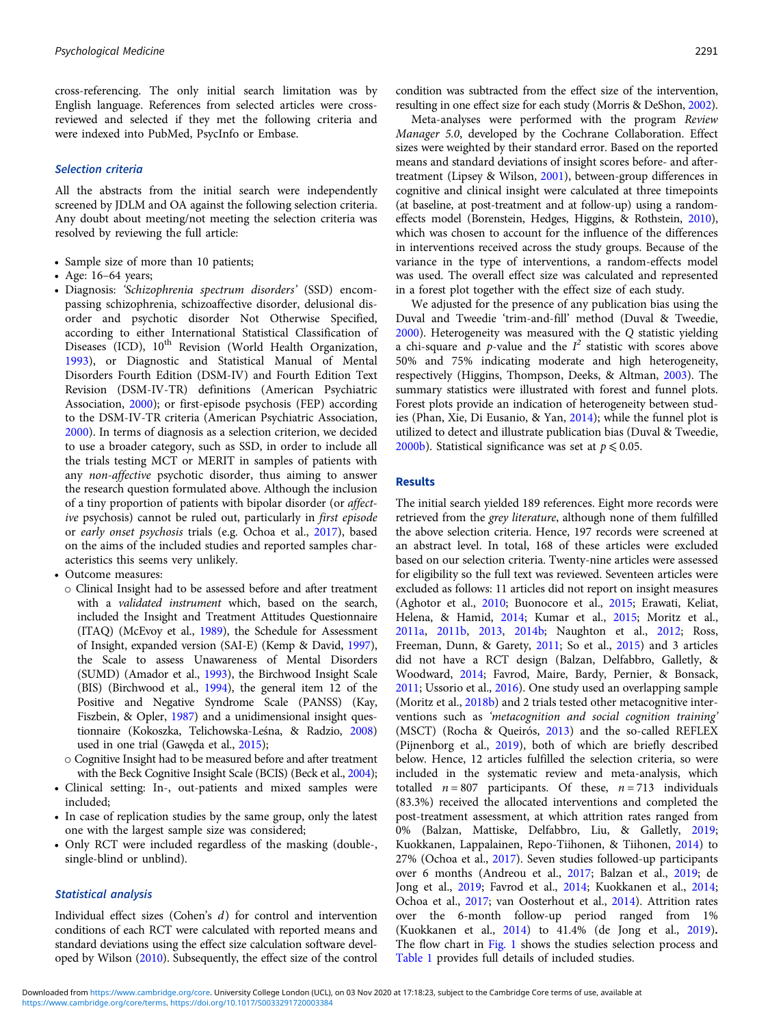cross-referencing. The only initial search limitation was by English language. References from selected articles were crossreviewed and selected if they met the following criteria and were indexed into PubMed, PsycInfo or Embase.

### Selection criteria

All the abstracts from the initial search were independently screened by JDLM and OA against the following selection criteria. Any doubt about meeting/not meeting the selection criteria was resolved by reviewing the full article:

- Sample size of more than 10 patients;
- Age: 16–64 years;
- Diagnosis: 'Schizophrenia spectrum disorders' (SSD) encompassing schizophrenia, schizoaffective disorder, delusional disorder and psychotic disorder Not Otherwise Specified, according to either International Statistical Classification of Diseases (ICD), 10<sup>th</sup> Revision (World Health Organization, [1993\)](#page-12-0), or Diagnostic and Statistical Manual of Mental Disorders Fourth Edition (DSM-IV) and Fourth Edition Text Revision (DSM-IV-TR) definitions (American Psychiatric Association, [2000](#page-10-0)); or first-episode psychosis (FEP) according to the DSM-IV-TR criteria (American Psychiatric Association, [2000\)](#page-10-0). In terms of diagnosis as a selection criterion, we decided to use a broader category, such as SSD, in order to include all the trials testing MCT or MERIT in samples of patients with any non-affective psychotic disorder, thus aiming to answer the research question formulated above. Although the inclusion of a tiny proportion of patients with bipolar disorder (or affective psychosis) cannot be ruled out, particularly in first episode or early onset psychosis trials (e.g. Ochoa et al., [2017](#page-12-0)), based on the aims of the included studies and reported samples characteristics this seems very unlikely.
- Outcome measures:
	- o Clinical Insight had to be assessed before and after treatment with a validated instrument which, based on the search, included the Insight and Treatment Attitudes Questionnaire (ITAQ) (McEvoy et al., [1989](#page-12-0)), the Schedule for Assessment of Insight, expanded version (SAI-E) (Kemp & David, [1997\)](#page-11-0), the Scale to assess Unawareness of Mental Disorders (SUMD) (Amador et al., [1993\)](#page-10-0), the Birchwood Insight Scale (BIS) (Birchwood et al., [1994\)](#page-11-0), the general item 12 of the Positive and Negative Syndrome Scale (PANSS) (Kay, Fiszbein, & Opler, [1987](#page-11-0)) and a unidimensional insight questionnaire (Kokoszka, Telichowska-Leśna, & Radzio, [2008\)](#page-11-0) used in one trial (Gawęda et al., [2015](#page-11-0));
- o Cognitive Insight had to be measured before and after treatment with the Beck Cognitive Insight Scale (BCIS) (Beck et al., [2004\)](#page-11-0);
- Clinical setting: In-, out-patients and mixed samples were included;
- In case of replication studies by the same group, only the latest one with the largest sample size was considered;
- Only RCT were included regardless of the masking (double-, single-blind or unblind).

## Statistical analysis

Individual effect sizes (Cohen's d) for control and intervention conditions of each RCT were calculated with reported means and standard deviations using the effect size calculation software developed by Wilson [\(2010\)](#page-12-0). Subsequently, the effect size of the control condition was subtracted from the effect size of the intervention, resulting in one effect size for each study (Morris & DeShon, [2002](#page-12-0)).

Meta-analyses were performed with the program Review Manager 5.0, developed by the Cochrane Collaboration. Effect sizes were weighted by their standard error. Based on the reported means and standard deviations of insight scores before- and aftertreatment (Lipsey & Wilson, [2001\)](#page-11-0), between-group differences in cognitive and clinical insight were calculated at three timepoints (at baseline, at post-treatment and at follow-up) using a randomeffects model (Borenstein, Hedges, Higgins, & Rothstein, [2010](#page-11-0)), which was chosen to account for the influence of the differences in interventions received across the study groups. Because of the variance in the type of interventions, a random-effects model was used. The overall effect size was calculated and represented in a forest plot together with the effect size of each study.

We adjusted for the presence of any publication bias using the Duval and Tweedie 'trim-and-fill' method (Duval & Tweedie, [2000](#page-11-0)). Heterogeneity was measured with the Q statistic yielding a chi-square and  $p$ -value and the  $I^2$  statistic with scores above 50% and 75% indicating moderate and high heterogeneity, respectively (Higgins, Thompson, Deeks, & Altman, [2003\)](#page-11-0). The summary statistics were illustrated with forest and funnel plots. Forest plots provide an indication of heterogeneity between studies (Phan, Xie, Di Eusanio, & Yan, [2014\)](#page-12-0); while the funnel plot is utilized to detect and illustrate publication bias (Duval & Tweedie, [2000b](#page-11-0)). Statistical significance was set at  $p \le 0.05$ .

# Results

The initial search yielded 189 references. Eight more records were retrieved from the grey literature, although none of them fulfilled the above selection criteria. Hence, 197 records were screened at an abstract level. In total, 168 of these articles were excluded based on our selection criteria. Twenty-nine articles were assessed for eligibility so the full text was reviewed. Seventeen articles were excluded as follows: 11 articles did not report on insight measures (Aghotor et al., [2010](#page-10-0); Buonocore et al., [2015;](#page-11-0) Erawati, Keliat, Helena, & Hamid, [2014;](#page-11-0) Kumar et al., [2015;](#page-11-0) Moritz et al., [2011a,](#page-12-0) [2011b,](#page-12-0) [2013,](#page-12-0) [2014b](#page-12-0); Naughton et al., [2012;](#page-12-0) Ross, Freeman, Dunn, & Garety, [2011](#page-12-0); So et al., [2015](#page-12-0)) and 3 articles did not have a RCT design (Balzan, Delfabbro, Galletly, & Woodward, [2014](#page-10-0); Favrod, Maire, Bardy, Pernier, & Bonsack, [2011](#page-11-0); Ussorio et al., [2016](#page-12-0)). One study used an overlapping sample (Moritz et al., [2018b\)](#page-12-0) and 2 trials tested other metacognitive interventions such as 'metacognition and social cognition training' (MSCT) (Rocha & Queirós, [2013\)](#page-12-0) and the so-called REFLEX (Pijnenborg et al., [2019\)](#page-12-0), both of which are briefly described below. Hence, 12 articles fulfilled the selection criteria, so were included in the systematic review and meta-analysis, which totalled  $n = 807$  participants. Of these,  $n = 713$  individuals (83.3%) received the allocated interventions and completed the post-treatment assessment, at which attrition rates ranged from 0% (Balzan, Mattiske, Delfabbro, Liu, & Galletly, [2019](#page-11-0); Kuokkanen, Lappalainen, Repo-Tiihonen, & Tiihonen, [2014\)](#page-11-0) to 27% (Ochoa et al., [2017](#page-12-0)). Seven studies followed-up participants over 6 months (Andreou et al., [2017](#page-10-0); Balzan et al., [2019;](#page-11-0) de Jong et al., [2019;](#page-11-0) Favrod et al., [2014](#page-11-0); Kuokkanen et al., [2014](#page-11-0); Ochoa et al., [2017](#page-12-0); van Oosterhout et al., [2014\)](#page-12-0). Attrition rates over the 6-month follow-up period ranged from 1% (Kuokkanen et al., [2014\)](#page-11-0) to 41.4% (de Jong et al., [2019\)](#page-11-0). The flow chart in [Fig. 1](#page-3-0) shows the studies selection process and [Table 1](#page-4-0) provides full details of included studies.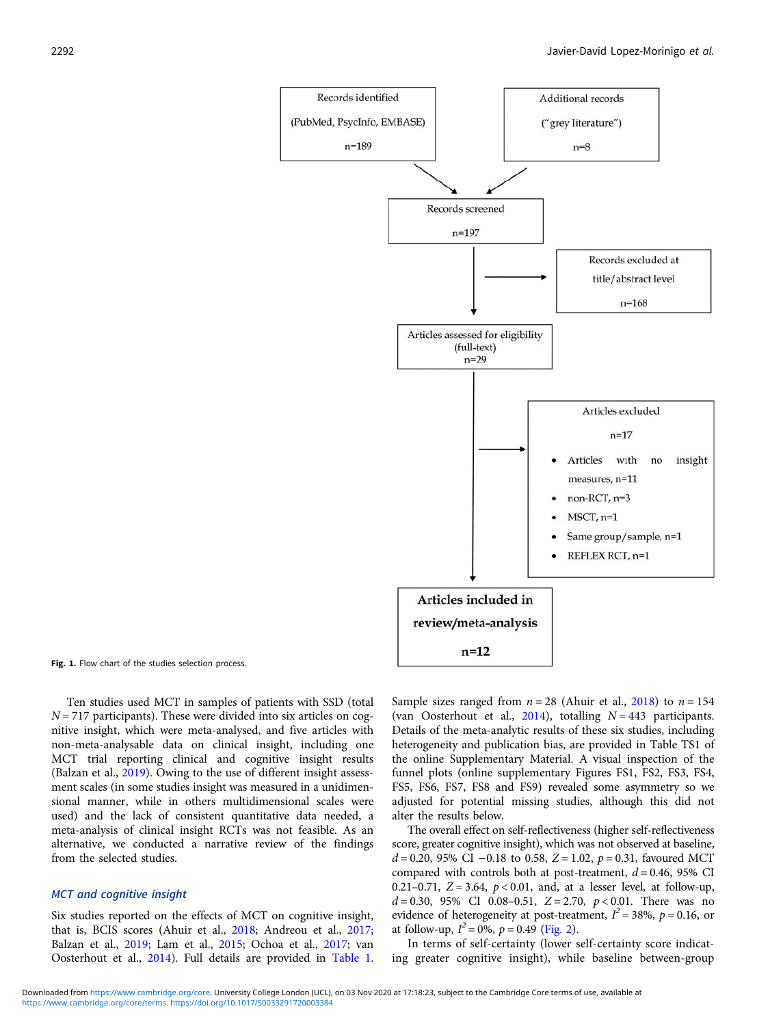<span id="page-3-0"></span>

Fig. 1. Flow chart of the studies selection process.

Ten studies used MCT in samples of patients with SSD (total  $N = 717$  participants). These were divided into six articles on cognitive insight, which were meta-analysed, and five articles with non-meta-analysable data on clinical insight, including one MCT trial reporting clinical and cognitive insight results (Balzan et al., [2019\)](#page-11-0). Owing to the use of different insight assessment scales (in some studies insight was measured in a unidimensional manner, while in others multidimensional scales were used) and the lack of consistent quantitative data needed, a meta-analysis of clinical insight RCTs was not feasible. As an alternative, we conducted a narrative review of the findings from the selected studies.

### MCT and cognitive insight

Six studies reported on the effects of MCT on cognitive insight, that is, BCIS scores (Ahuir et al., [2018;](#page-10-0) Andreou et al., [2017](#page-10-0); Balzan et al., [2019;](#page-11-0) Lam et al., [2015;](#page-11-0) Ochoa et al., [2017;](#page-12-0) van Oosterhout et al., [2014](#page-12-0)). Full details are provided in [Table 1](#page-4-0). Sample sizes ranged from  $n = 28$  (Ahuir et al., [2018\)](#page-10-0) to  $n = 154$ (van Oosterhout et al., [2014](#page-12-0)), totalling  $N = 443$  participants. Details of the meta-analytic results of these six studies, including heterogeneity and publication bias, are provided in Table TS1 of the online Supplementary Material. A visual inspection of the funnel plots (online supplementary Figures FS1, FS2, FS3, FS4, FS5, FS6, FS7, FS8 and FS9) revealed some asymmetry so we adjusted for potential missing studies, although this did not alter the results below.

The overall effect on self-reflectiveness (higher self-reflectiveness score, greater cognitive insight), which was not observed at baseline,  $d = 0.20$ , 95% CI  $-0.18$  to 0.58, Z = 1.02, p = 0.31, favoured MCT compared with controls both at post-treatment,  $d = 0.46$ , 95% CI 0.21–0.71,  $Z = 3.64$ ,  $p < 0.01$ , and, at a lesser level, at follow-up,  $d = 0.30, 95\%$  CI 0.08-0.51, Z = 2.70,  $p < 0.01$ . There was no evidence of heterogeneity at post-treatment,  $I^2 = 38\%$ ,  $p = 0.16$ , or at follow-up,  $I^2 = 0\%$ ,  $p = 0.49$  [\(Fig. 2\)](#page-5-0).

In terms of self-certainty (lower self-certainty score indicating greater cognitive insight), while baseline between-group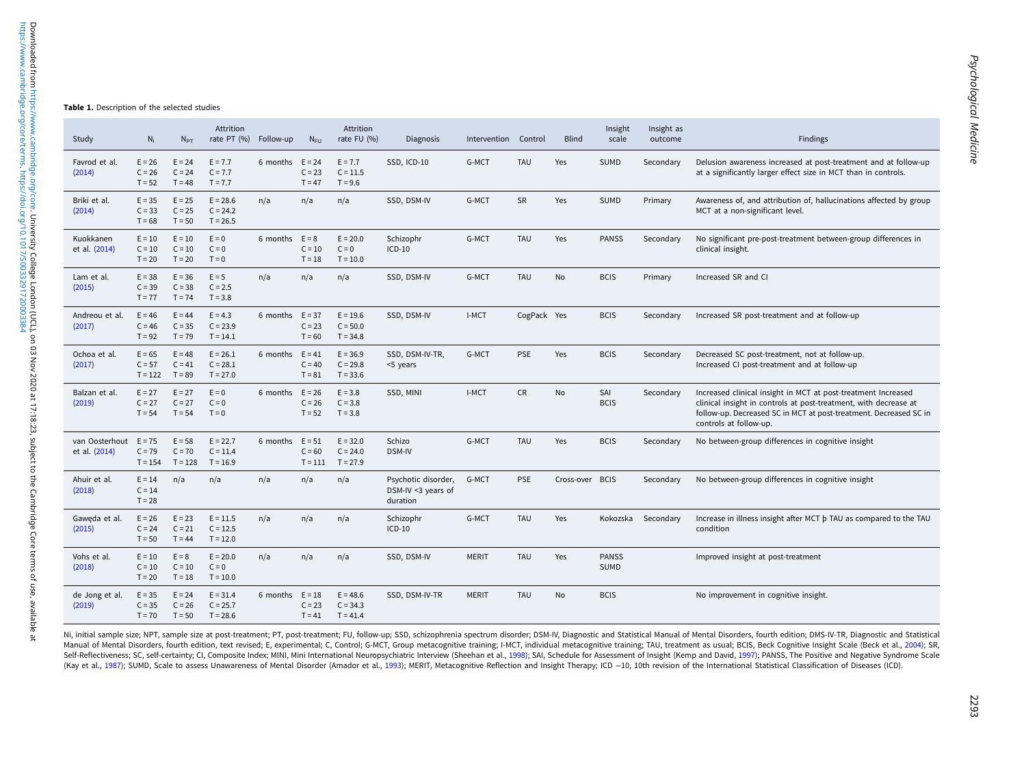<span id="page-4-0"></span>

| Study                                    | $N_i$                             | $N_{PT}$                          | Attrition<br>rate PT (%) Follow-up     |                   | $N_{\text{FU}}$       | Attrition<br>rate FU (%)               | <b>Diagnosis</b>                                      | Intervention Control |             | <b>Blind</b>    | Insight<br>scale            | Insight as<br>outcome | Findings                                                                                                                                                                                                                         |
|------------------------------------------|-----------------------------------|-----------------------------------|----------------------------------------|-------------------|-----------------------|----------------------------------------|-------------------------------------------------------|----------------------|-------------|-----------------|-----------------------------|-----------------------|----------------------------------------------------------------------------------------------------------------------------------------------------------------------------------------------------------------------------------|
| Favrod et al.<br>(2014)                  | $E = 26$<br>$C = 26$<br>$T = 52$  | $E = 24$<br>$C = 24$<br>$T = 48$  | $E = 7.7$<br>$C = 7.7$<br>$T = 7.7$    | 6 months $E = 24$ | $C = 23$<br>$T = 47$  | $E = 7.7$<br>$C = 11.5$<br>$T = 9.6$   | SSD, ICD-10                                           | G-MCT                | <b>TAU</b>  | Yes             | <b>SUMD</b>                 | Secondary             | Delusion awareness increased at post-treatment and at follow-up<br>at a significantly larger effect size in MCT than in controls.                                                                                                |
| Briki et al.<br>(2014)                   | $E = 35$<br>$C = 33$<br>$T = 68$  | $E = 25$<br>$C = 25$<br>$T = 50$  | $E = 28.6$<br>$C = 24.2$<br>$T = 26.5$ | n/a               | n/a                   | n/a                                    | SSD, DSM-IV                                           | G-MCT                | <b>SR</b>   | Yes             | <b>SUMD</b>                 | Primary               | Awareness of, and attribution of, hallucinations affected by group<br>MCT at a non-significant level.                                                                                                                            |
| Kuokkanen<br>et al. (2014)               | $E = 10$<br>$C = 10$<br>$T = 20$  | $E = 10$<br>$C = 10$<br>$T = 20$  | $E = 0$<br>$C = 0$<br>$T = 0$          | 6 months $E = 8$  | $C = 10$<br>$T = 18$  | $E = 20.0$<br>$C = 0$<br>$T = 10.0$    | Schizophr<br>$ICD-10$                                 | G-MCT                | <b>TAU</b>  | Yes             | <b>PANSS</b>                | Secondary             | No significant pre-post-treatment between-group differences in<br>clinical insight.                                                                                                                                              |
| Lam et al.<br>(2015)                     | $E = 38$<br>$C = 39$<br>$T = 77$  | $E = 36$<br>$C = 38$<br>$T = 74$  | $E = 5$<br>$C = 2.5$<br>$T = 3.8$      | n/a               | n/a                   | n/a                                    | SSD, DSM-IV                                           | G-MCT                | <b>TAU</b>  | <b>No</b>       | <b>BCIS</b>                 | Primary               | Increased SR and CI                                                                                                                                                                                                              |
| Andreou et al.<br>(2017)                 | $E = 46$<br>$C = 46$<br>$T = 92$  | $E = 44$<br>$C = 35$<br>$T = 79$  | $E = 4.3$<br>$C = 23.9$<br>$T = 14.1$  | 6 months $E = 37$ | $C = 23$<br>$T = 60$  | $E = 19.6$<br>$C = 50.0$<br>$T = 34.8$ | SSD, DSM-IV                                           | I-MCT                | CogPack Yes |                 | <b>BCIS</b>                 | Secondary             | Increased SR post-treatment and at follow-up                                                                                                                                                                                     |
| Ochoa et al.<br>(2017)                   | $E = 65$<br>$C = 57$<br>$T = 122$ | $E = 48$<br>$C = 41$<br>$T = 89$  | $E = 26.1$<br>$C = 28.1$<br>$T = 27.0$ | 6 months $E = 41$ | $C = 40$<br>$T = 81$  | $E = 36.9$<br>$C = 29.8$<br>$T = 33.6$ | SSD, DSM-IV-TR,<br><5 years                           | G-MCT                | <b>PSE</b>  | Yes             | <b>BCIS</b>                 | Secondary             | Decreased SC post-treatment, not at follow-up.<br>Increased CI post-treatment and at follow-up                                                                                                                                   |
| Balzan et al.<br>(2019)                  | $E = 27$<br>$C = 27$<br>$T = 54$  | $E = 27$<br>$C = 27$<br>$T = 54$  | $E = 0$<br>$C = 0$<br>$T = 0$          | 6 months $E = 26$ | $C = 26$<br>$T = 52$  | $E = 3.8$<br>$C = 3.8$<br>$T = 3.8$    | SSD, MINI                                             | I-MCT                | <b>CR</b>   | No              | SAI<br><b>BCIS</b>          | Secondary             | Increased clinical insight in MCT at post-treatment Increased<br>clinical insight in controls at post-treatment, with decrease at<br>follow-up. Decreased SC in MCT at post-treatment. Decreased SC in<br>controls at follow-up. |
| van Oosterhout $E = 75$<br>et al. (2014) | $C = 79$<br>$T = 154$             | $E = 58$<br>$C = 70$<br>$T = 128$ | $E = 22.7$<br>$C = 11.4$<br>$T = 16.9$ | 6 months $E = 51$ | $C = 60$<br>$T = 111$ | $E = 32.0$<br>$C = 24.0$<br>$T = 27.9$ | Schizo<br>DSM-IV                                      | G-MCT                | <b>TAU</b>  | Yes             | <b>BCIS</b>                 | Secondary             | No between-group differences in cognitive insight                                                                                                                                                                                |
| Ahuir et al.<br>(2018)                   | $E = 14$<br>$C = 14$<br>$T = 28$  | n/a                               | n/a                                    | n/a               | n/a                   | n/a                                    | Psychotic disorder,<br>DSM-IV <3 years of<br>duration | G-MCT                | <b>PSE</b>  | Cross-over BCIS |                             | Secondary             | No between-group differences in cognitive insight                                                                                                                                                                                |
| Gaweda et al.<br>(2015)                  | $E = 26$<br>$C = 24$<br>$T = 50$  | $E = 23$<br>$C = 21$<br>$T = 44$  | $E = 11.5$<br>$C = 12.5$<br>$T = 12.0$ | n/a               | n/a                   | n/a                                    | Schizophr<br>$ICD-10$                                 | G-MCT                | <b>TAU</b>  | Yes             |                             | Kokozska Secondary    | Increase in illness insight after MCT b TAU as compared to the TAU<br>condition                                                                                                                                                  |
| Vohs et al.<br>(2018)                    | $E = 10$<br>$C = 10$<br>$T = 20$  | $E = 8$<br>$C = 10$<br>$T = 18$   | $E = 20.0$<br>$C = 0$<br>$T = 10.0$    | n/a               | n/a                   | n/a                                    | SSD, DSM-IV                                           | <b>MERIT</b>         | <b>TAU</b>  | Yes             | <b>PANSS</b><br><b>SUMD</b> |                       | Improved insight at post-treatment                                                                                                                                                                                               |
| de Jong et al.<br>(2019)                 | $E = 35$<br>$C = 35$<br>$T = 70$  | $E = 24$<br>$C = 26$<br>$T = 50$  | $E = 31.4$<br>$C = 25.7$<br>$T = 28.6$ | 6 months $E = 18$ | $C = 23$<br>$T = 41$  | $E = 48.6$<br>$C = 34.3$<br>$T = 41.4$ | SSD, DSM-IV-TR                                        | <b>MERIT</b>         | <b>TAU</b>  | No              | <b>BCIS</b>                 |                       | No improvement in cognitive insight.                                                                                                                                                                                             |

Ni, initial sample size; NPT, sample size at post-treatment; PT, post-treatment; FU, follow-up; SSD, schizophrenia spectrum disorder; DSM-IV, Diagnostic and Statistical Manual of Mental Disorders, fourth edition; DMS-IV-TR Manual of Mental Disorders, fourth edition, text revised; E, experimental; C, Control; G-MCT, Group metacognitive training; I-MCT, individual metacognitive training; TAU, treatment as usual; BCIS, Beck Cognitive Insight Sc Self-Reflectiveness; SC, self-certainty; CI, Composite Index; MINI, Mini International Neuropsychiatric Interview (Sheehan et al., [1998](#page-12-0)); SAI, Schedule for Assessment of Insight (Kemp and David, [1997](#page-11-0)); PANSS, The Positive (Kay et al., [1987\)](#page-11-0); SUMD, Scale to assess Unawareness of Mental Disorder (Amador et al., [1993\)](#page-10-0); MERIT, Metacognitive Reflection and Insight Therapy; ICD -10, 10th revision of the International Statistical Classification of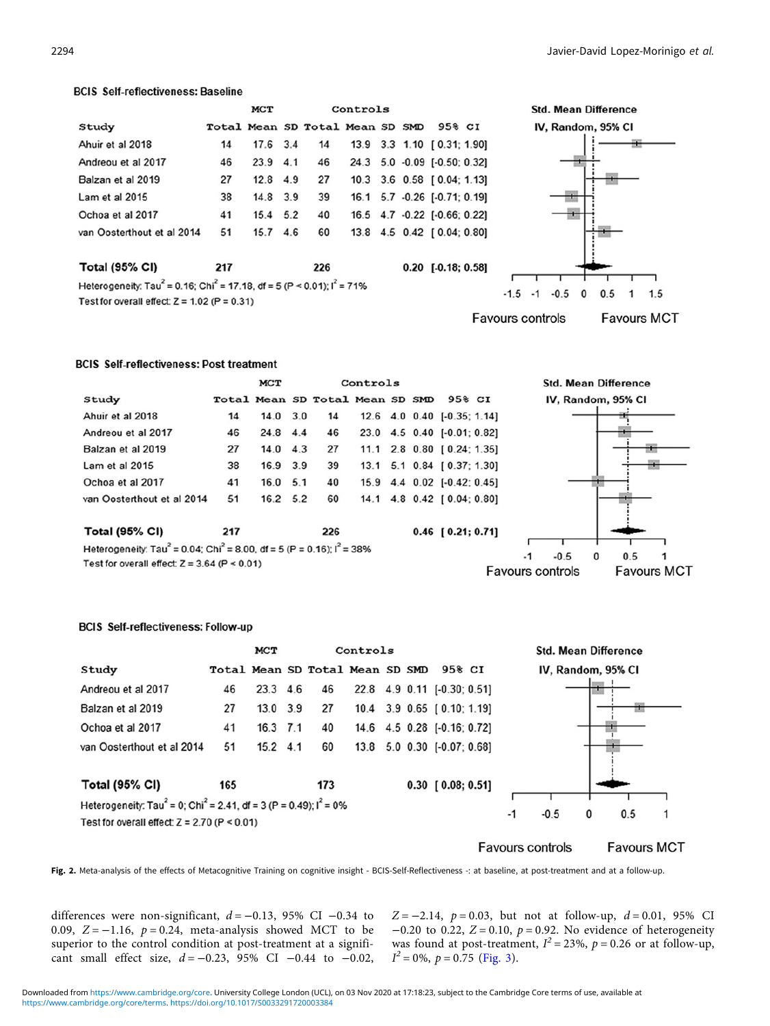### <span id="page-5-0"></span>**BCIS Self-reflectiveness: Baseline**

|                                                                                                  |     | MCT        |     |                                 | Controls |  |                              |  |
|--------------------------------------------------------------------------------------------------|-----|------------|-----|---------------------------------|----------|--|------------------------------|--|
| Study                                                                                            |     |            |     | Total Mean SD Total Mean SD SMD |          |  | 95% CI                       |  |
| Ahuir et al 2018                                                                                 | 14  | 17.6 3.4   |     | 14                              |          |  | 13.9 3.3 1.10 [0.31; 1.90]   |  |
| Andreou et al 2017                                                                               | 46  | $23.9$ 4.1 |     | 46                              |          |  | 24.3 5.0 -0.09 [-0.50; 0.32] |  |
| Balzan et al 2019                                                                                | 27  | $12.8$ 4.9 |     | 27                              |          |  | 10.3 3.6 0.58 [0.04; 1.13]   |  |
| Lam et al 2015                                                                                   | 38  | 14.8 3.9   |     | 39                              |          |  | 16.1 5.7 -0.26 [-0.71; 0.19] |  |
| Ochoa et al 2017                                                                                 | 41  | $15.4$ 5.2 |     | 40                              |          |  | 16.5 4.7 -0.22 [-0.66; 0.22] |  |
| van Oosterthout et al 2014                                                                       | 51  | 15.7       | 4.6 | 60                              |          |  | 13.8 4.5 0.42 [0.04; 0.80]   |  |
| <b>Total (95% CI)</b>                                                                            | 217 |            |     | 226                             |          |  | $0.20$ [-0.18; 0.58]         |  |
| Heterogeneity: Tau <sup>2</sup> = 0.16; Chi <sup>2</sup> = 17.18, df = 5 (P < 0.01); $I^2$ = 71% |     |            |     |                                 |          |  |                              |  |
| Test for overall effect: $Z = 1.02$ (P = 0.31)                                                   |     |            |     |                                 |          |  |                              |  |



### **BCIS Self-reflectiveness: Post treatment**

|                            |     | <b>MCT</b>       |     |                                 | Controls |  |                             |  |
|----------------------------|-----|------------------|-----|---------------------------------|----------|--|-----------------------------|--|
| Study                      |     |                  |     | Total Mean SD Total Mean SD SMD |          |  | 95% CI                      |  |
| Ahuir et al 2018           | 14  | $14.0 \quad 3.0$ |     | 14                              |          |  | 12.6 4.0 0.40 [-0.35; 1.14] |  |
| Andreou et al 2017         | 46  | 24.8             | 4.4 | 46                              |          |  | 23.0 4.5 0.40 [-0.01; 0.82] |  |
| Balzan et al 2019          | 27  | 14.0             | 4.3 | 27                              |          |  | 11.1 2.8 0.80 [0.24; 1.35]  |  |
| Lam et al 2015             | 38  | 16.9 3.9         |     | 39                              |          |  | 13.1 5.1 0.84 [0.37; 1.30]  |  |
| Ochoa et al 2017           | 41  | 16.0             | 5.1 | 40                              |          |  | 15.9 4.4 0.02 [-0.42; 0.45] |  |
| van Oosterthout et al 2014 | 51  | $16.2$ 5.2       |     | 60                              |          |  | 14.1 4.8 0.42 [0.04: 0.80]  |  |
| <b>Total (95% CI)</b>      | 217 |                  |     | 226                             |          |  | $0.46$ [ $0.21; 0.71$ ]     |  |





**Std. Mean Difference** 

### **BCIS Self-reflectiveness: Follow-up**

|                                                                                             |     | MCT             |  |                                 | Controls |        |                             |     |  |  | <b>Std. Mean Difference</b> |  |
|---------------------------------------------------------------------------------------------|-----|-----------------|--|---------------------------------|----------|--------|-----------------------------|-----|--|--|-----------------------------|--|
| Study                                                                                       |     |                 |  | Total Mean SD Total Mean SD SMD |          |        | 95% CI                      |     |  |  | IV, Random, 95% CI          |  |
| Andreou et al 2017                                                                          | 46  | $23.3\quad 4.6$ |  | 46                              |          |        | 22.8 4.9 0.11 [-0.30; 0.51] |     |  |  |                             |  |
| Balzan et al 2019                                                                           | 27  | 13.0 3.9        |  | 27                              |          |        | 10.4 3.9 0.65 [0.10; 1.19]  |     |  |  |                             |  |
| Ochoa et al 2017                                                                            | 41  | 16.3 7.1        |  | 40                              |          |        | 14.6 4.5 0.28 [-0.16; 0.72] |     |  |  |                             |  |
| van Oosterthout et al 2014                                                                  | 51  | $15.2$ 4.1      |  | 60                              |          |        | 13.8 5.0 0.30 [-0.07; 0.68] |     |  |  |                             |  |
|                                                                                             |     |                 |  |                                 |          |        |                             |     |  |  |                             |  |
| <b>Total (95% CI)</b>                                                                       | 165 |                 |  | 173                             |          |        | $0.30$ [ $0.08; 0.51$ ]     |     |  |  |                             |  |
| Heterogeneity: Tau <sup>2</sup> = 0; Chi <sup>2</sup> = 2.41, df = 3 (P = 0.49); $I^2$ = 0% |     |                 |  |                                 |          |        |                             |     |  |  |                             |  |
| Test for overall effect: $Z = 2.70$ (P < 0.01)                                              |     |                 |  |                                 | $-1$     | $-0.5$ | 0                           | 0.5 |  |  |                             |  |
|                                                                                             |     |                 |  |                                 |          |        |                             |     |  |  |                             |  |

**Favours controls** 

**Favours MCT** 

Fig. 2. Meta-analysis of the effects of Metacognitive Training on cognitive insight - BCIS-Self-Reflectiveness -: at baseline, at post-treatment and at a follow-up.

differences were non-significant,  $d = -0.13$ , 95% CI -0.34 to 0.09,  $Z = -1.16$ ,  $p = 0.24$ , meta-analysis showed MCT to be superior to the control condition at post-treatment at a significant small effect size,  $d = -0.23$ , 95% CI  $-0.44$  to  $-0.02$ ,

 $Z = -2.14$ ,  $p = 0.03$ , but not at follow-up,  $d = 0.01$ , 95% CI  $-0.20$  to 0.22,  $Z = 0.10$ ,  $p = 0.92$ . No evidence of heterogeneity was found at post-treatment,  $I^2 = 23\%$ ,  $p = 0.26$  or at follow-up,  $I^2 = 0\%, p = 0.75$  [\(Fig. 3\)](#page-6-0).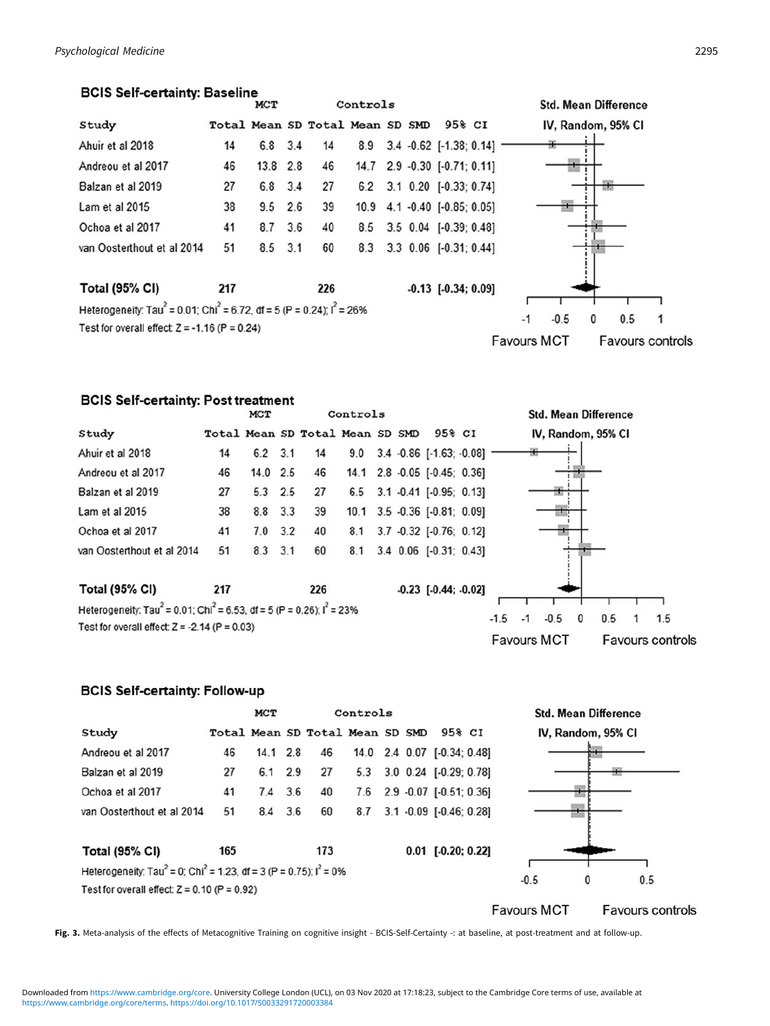# <span id="page-6-0"></span>**BCIS Self-certainty: Baseline**

|                                                                                                 |     | <b>MCT</b> |     |                                 | Controls |  |                              | <b>Std. Mean Difference</b>                   |
|-------------------------------------------------------------------------------------------------|-----|------------|-----|---------------------------------|----------|--|------------------------------|-----------------------------------------------|
| Study                                                                                           |     |            |     | Total Mean SD Total Mean SD SMD |          |  | 95% CI                       | IV, Random, 95% CI                            |
| Ahuir et al 2018                                                                                | 14  | $6.8$ 3.4  |     | 14                              |          |  | 8.9 3.4 -0.62 [-1.38; 0.14]  |                                               |
| Andreou et al 2017                                                                              | 46  | 13.8 2.8   |     | 46                              |          |  | 14.7 2.9 -0.30 [-0.71; 0.11] |                                               |
| Balzan et al 2019                                                                               | 27  | 6.8 3.4    |     | 27                              |          |  | 6.2 3.1 0.20 [-0.33; 0.74]   |                                               |
| Lam et al 2015                                                                                  | 38  | 9.5        | 2.6 | 39                              |          |  | 10.9 4.1 -0.40 [-0.85; 0.05] |                                               |
| Ochoa et al 2017                                                                                | 41  | 8.7        | 3.6 | 40                              | 8.5      |  | 3.5 0.04 [-0.39; 0.48]       |                                               |
| van Oosterthout et al 2014                                                                      | 51  | 8.5        | 3.1 | 60                              | 8.3      |  | 3.3 0.06 [-0.31; 0.44]       |                                               |
| <b>Total (95% CI)</b>                                                                           | 217 |            |     | 226                             |          |  | $-0.13$ $[-0.34; 0.09]$      |                                               |
| Heterogeneity: Tau <sup>2</sup> = 0.01; Chi <sup>2</sup> = 6.72, df = 5 (P = 0.24); $I^2$ = 26% |     |            |     |                                 |          |  |                              |                                               |
| Test for overall effect: $Z = -1.16$ (P = 0.24)                                                 |     |            |     |                                 |          |  |                              | 0.5<br>$-1$<br>$-0.5$<br>$\mathbf{0}$         |
|                                                                                                 |     |            |     |                                 |          |  |                              | <b>Favours MCT</b><br><b>Favours controls</b> |

# **BCIS Self-certainty: Post treatment**

|                                                                                                 |     | <b>MCT</b>  |     |                                 | Controls |  |                                      |        |      |        |   | <b>Std. Mean Difference</b> |     |
|-------------------------------------------------------------------------------------------------|-----|-------------|-----|---------------------------------|----------|--|--------------------------------------|--------|------|--------|---|-----------------------------|-----|
| Study                                                                                           |     |             |     | Total Mean SD Total Mean SD SMD |          |  | 95% CI                               |        |      |        |   | IV, Random, 95% CI          |     |
| Ahuir et al 2018                                                                                | 14  | $6.2$ 3.1   |     | 14                              |          |  | $9.0$ $3.4$ $-0.86$ $[-1.63; -0.08]$ |        |      |        |   |                             |     |
| Andreou et al 2017                                                                              | 46  | 14.0 2.5    |     | 46                              |          |  | 14.1 2.8 -0.05 [-0.45; 0.36]         |        |      |        |   |                             |     |
| Balzan et al 2019                                                                               | 27  | $5.3$ 2.5   |     | 27                              |          |  | 6.5 3.1 -0.41 [-0.95; 0.13]          |        |      |        |   |                             |     |
| Lam et al 2015                                                                                  | 38  | 8.8 3.3     |     | 39                              |          |  | 10.1 3.5 -0.36 [-0.81; 0.09]         |        |      |        |   |                             |     |
| Ochoa et al 2017                                                                                | 41  | 7.0         | 3.2 | 40                              |          |  | 8.1 3.7 -0.32 [-0.76; 0.12]          |        |      |        |   |                             |     |
| van Oosterthout et al 2014                                                                      | 51  | $8.3$ $3.1$ |     | 60                              | 8.1      |  | 3.4 0.06 [-0.31; 0.43]               |        |      |        |   |                             |     |
| <b>Total (95% CI)</b>                                                                           | 217 |             |     | 226                             |          |  | $-0.23$ $[-0.44; -0.02]$             |        |      |        |   |                             |     |
| Heterogeneity: Tau <sup>2</sup> = 0.01; Chi <sup>2</sup> = 6.53, df = 5 (P = 0.26); $I^2$ = 23% |     |             |     |                                 |          |  |                                      |        |      |        |   |                             |     |
|                                                                                                 |     |             |     |                                 |          |  |                                      | $-1.5$ | $-1$ | $-0.5$ | 0 | 0.5                         | 1.5 |

**Favours MCT** 

Favours controls

Test for overall effect:  $Z = -2.14$  (P = 0.03)

# **BCIS Self-certainty: Follow-up**



Fig. 3. Meta-analysis of the effects of Metacognitive Training on cognitive insight - BCIS-Self-Certainty -: at baseline, at post-treatment and at follow-up.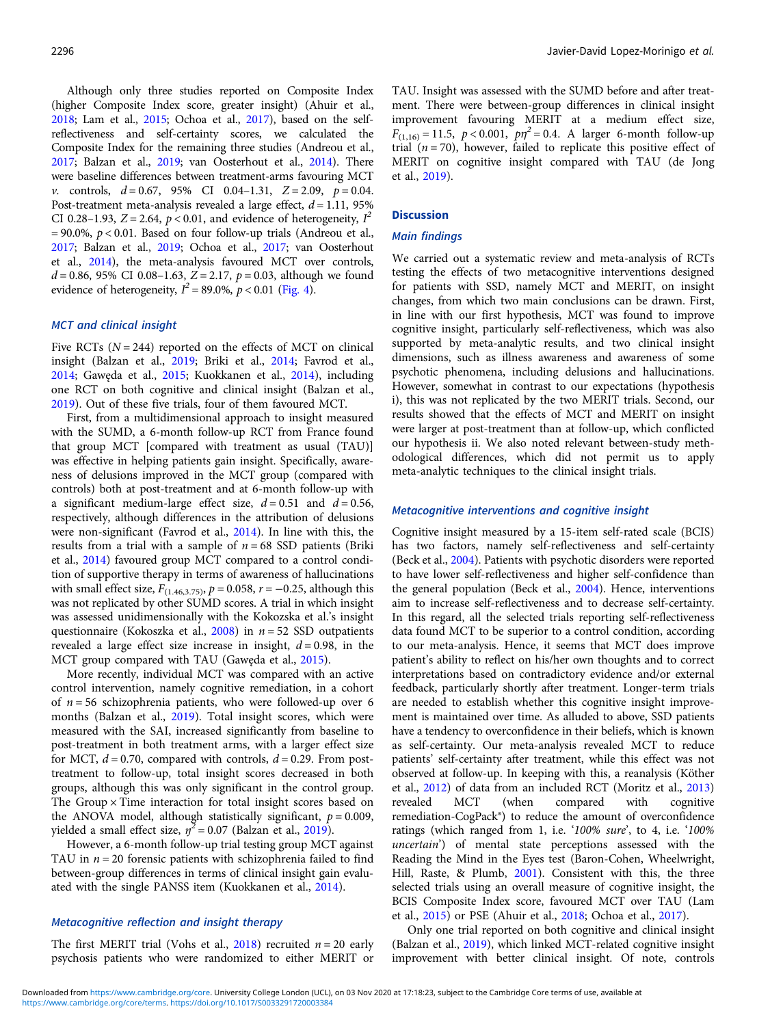Although only three studies reported on Composite Index (higher Composite Index score, greater insight) (Ahuir et al., [2018;](#page-10-0) Lam et al., [2015;](#page-11-0) Ochoa et al., [2017](#page-12-0)), based on the selfreflectiveness and self-certainty scores, we calculated the Composite Index for the remaining three studies (Andreou et al., [2017;](#page-10-0) Balzan et al., [2019](#page-11-0); van Oosterhout et al., [2014](#page-12-0)). There were baseline differences between treatment-arms favouring MCT *v.* controls,  $d = 0.67$ , 95% CI 0.04-1.31,  $Z = 2.09$ ,  $p = 0.04$ . Post-treatment meta-analysis revealed a large effect,  $d = 1.11$ , 95% CI 0.28-1.93, Z = 2.64,  $p < 0.01$ , and evidence of heterogeneity,  $I^2$  $= 90.0\%$ ,  $p < 0.01$ . Based on four follow-up trials (Andreou et al., [2017;](#page-10-0) Balzan et al., [2019;](#page-11-0) Ochoa et al., [2017](#page-12-0); van Oosterhout et al., [2014\)](#page-12-0), the meta-analysis favoured MCT over controls,  $d = 0.86$ , 95% CI 0.08-1.63, Z = 2.17,  $p = 0.03$ , although we found evidence of heterogeneity,  $I^2 = 89.0\%$ ,  $p < 0.01$  [\(Fig. 4](#page-8-0)).

### MCT and clinical insight

Five RCTs  $(N = 244)$  reported on the effects of MCT on clinical insight (Balzan et al., [2019;](#page-11-0) Briki et al., [2014](#page-11-0); Favrod et al., [2014;](#page-11-0) Gawęda et al., [2015;](#page-11-0) Kuokkanen et al., [2014](#page-11-0)), including one RCT on both cognitive and clinical insight (Balzan et al., [2019\)](#page-11-0). Out of these five trials, four of them favoured MCT.

First, from a multidimensional approach to insight measured with the SUMD, a 6-month follow-up RCT from France found that group MCT [compared with treatment as usual (TAU)] was effective in helping patients gain insight. Specifically, awareness of delusions improved in the MCT group (compared with controls) both at post-treatment and at 6-month follow-up with a significant medium-large effect size,  $d = 0.51$  and  $d = 0.56$ , respectively, although differences in the attribution of delusions were non-significant (Favrod et al., [2014\)](#page-11-0). In line with this, the results from a trial with a sample of  $n = 68$  SSD patients (Briki et al., [2014](#page-11-0)) favoured group MCT compared to a control condition of supportive therapy in terms of awareness of hallucinations with small effect size,  $F_{(1.46,3.75)}$ ,  $p = 0.058$ ,  $r = -0.25$ , although this was not replicated by other SUMD scores. A trial in which insight was assessed unidimensionally with the Kokozska et al.'s insight questionnaire (Kokoszka et al.,  $2008$ ) in  $n = 52$  SSD outpatients revealed a large effect size increase in insight,  $d = 0.98$ , in the MCT group compared with TAU (Gawęda et al., [2015\)](#page-11-0).

More recently, individual MCT was compared with an active control intervention, namely cognitive remediation, in a cohort of  $n = 56$  schizophrenia patients, who were followed-up over 6 months (Balzan et al., [2019\)](#page-11-0). Total insight scores, which were measured with the SAI, increased significantly from baseline to post-treatment in both treatment arms, with a larger effect size for MCT,  $d = 0.70$ , compared with controls,  $d = 0.29$ . From posttreatment to follow-up, total insight scores decreased in both groups, although this was only significant in the control group. The Group  $\times$  Time interaction for total insight scores based on the ANOVA model, although statistically significant,  $p = 0.009$ , yielded a small effect size,  $\eta^2 = 0.07$  (Balzan et al., [2019](#page-11-0)).

However, a 6-month follow-up trial testing group MCT against TAU in  $n = 20$  forensic patients with schizophrenia failed to find between-group differences in terms of clinical insight gain evaluated with the single PANSS item (Kuokkanen et al., [2014](#page-11-0)).

## Metacognitive reflection and insight therapy

The first MERIT trial (Vohs et al., [2018\)](#page-12-0) recruited  $n = 20$  early psychosis patients who were randomized to either MERIT or TAU. Insight was assessed with the SUMD before and after treatment. There were between-group differences in clinical insight improvement favouring MERIT at a medium effect size,  $F_{(1,16)} = 11.5$ ,  $p < 0.001$ ,  $p\eta^2 = 0.4$ . A larger 6-month follow-up trial  $(n = 70)$ , however, failed to replicate this positive effect of MERIT on cognitive insight compared with TAU (de Jong et al., [2019](#page-11-0)).

### **Discussion**

#### Main findings

We carried out a systematic review and meta-analysis of RCTs testing the effects of two metacognitive interventions designed for patients with SSD, namely MCT and MERIT, on insight changes, from which two main conclusions can be drawn. First, in line with our first hypothesis, MCT was found to improve cognitive insight, particularly self-reflectiveness, which was also supported by meta-analytic results, and two clinical insight dimensions, such as illness awareness and awareness of some psychotic phenomena, including delusions and hallucinations. However, somewhat in contrast to our expectations (hypothesis i), this was not replicated by the two MERIT trials. Second, our results showed that the effects of MCT and MERIT on insight were larger at post-treatment than at follow-up, which conflicted our hypothesis ii. We also noted relevant between-study methodological differences, which did not permit us to apply meta-analytic techniques to the clinical insight trials.

### Metacognitive interventions and cognitive insight

Cognitive insight measured by a 15-item self-rated scale (BCIS) has two factors, namely self-reflectiveness and self-certainty (Beck et al., [2004\)](#page-11-0). Patients with psychotic disorders were reported to have lower self-reflectiveness and higher self-confidence than the general population (Beck et al., [2004](#page-11-0)). Hence, interventions aim to increase self-reflectiveness and to decrease self-certainty. In this regard, all the selected trials reporting self-reflectiveness data found MCT to be superior to a control condition, according to our meta-analysis. Hence, it seems that MCT does improve patient's ability to reflect on his/her own thoughts and to correct interpretations based on contradictory evidence and/or external feedback, particularly shortly after treatment. Longer-term trials are needed to establish whether this cognitive insight improvement is maintained over time. As alluded to above, SSD patients have a tendency to overconfidence in their beliefs, which is known as self-certainty. Our meta-analysis revealed MCT to reduce patients' self-certainty after treatment, while this effect was not observed at follow-up. In keeping with this, a reanalysis (Köther et al., [2012\)](#page-11-0) of data from an included RCT (Moritz et al., [2013](#page-12-0)) revealed MCT (when compared with cognitive remediation-CogPack®) to reduce the amount of overconfidence ratings (which ranged from 1, i.e. '100% sure', to 4, i.e. '100% uncertain') of mental state perceptions assessed with the Reading the Mind in the Eyes test (Baron-Cohen, Wheelwright, Hill, Raste, & Plumb, [2001](#page-11-0)). Consistent with this, the three selected trials using an overall measure of cognitive insight, the BCIS Composite Index score, favoured MCT over TAU (Lam et al., [2015](#page-11-0)) or PSE (Ahuir et al., [2018](#page-10-0); Ochoa et al., [2017\)](#page-12-0).

Only one trial reported on both cognitive and clinical insight (Balzan et al., [2019\)](#page-11-0), which linked MCT-related cognitive insight improvement with better clinical insight. Of note, controls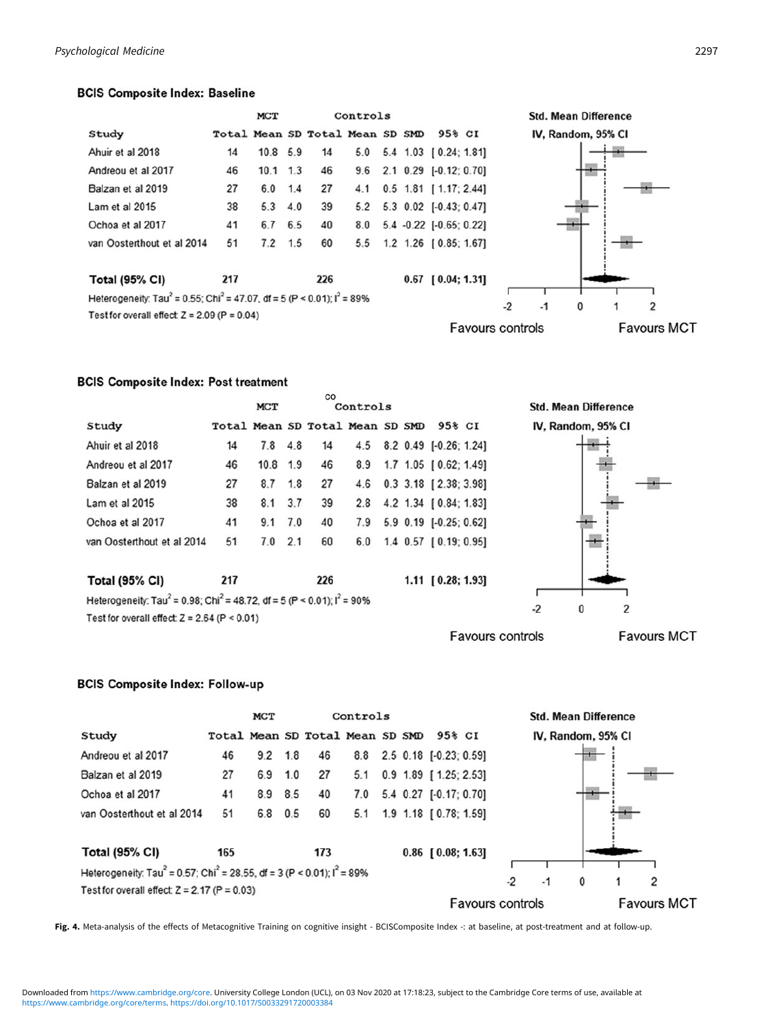# <span id="page-8-0"></span>**BCIS Composite Index: Baseline**



# **BCIS Composite Index: Post treatment**

|                                                                                                  |     | MCT      |     | CO                              | Controls |  |  |                         |  |      | <b>Std. Mean Difference</b> |   |                    |
|--------------------------------------------------------------------------------------------------|-----|----------|-----|---------------------------------|----------|--|--|-------------------------|--|------|-----------------------------|---|--------------------|
| Study                                                                                            |     |          |     | Total Mean SD Total Mean SD SMD |          |  |  | 95% CI                  |  |      | IV, Random, 95% CI          |   |                    |
| Ahuir et al 2018                                                                                 | 14  | 7.8      | 4.8 | 14                              | 4.5      |  |  | 8.2 0.49 [-0.26; 1.24]  |  |      |                             |   |                    |
| Andreou et al 2017                                                                               | 46  | 10.8 1.9 |     | 46                              | 8.9      |  |  | 1.7 1.05 [ 0.62; 1.49]  |  |      |                             |   |                    |
| Balzan et al 2019                                                                                | 27  | 8.7      | 1.8 | 27                              | 4.6      |  |  | $0.3$ 3.18 [2.38; 3.98] |  |      |                             |   |                    |
| Lam et al 2015                                                                                   | 38  | 8.1      | 3.7 | 39                              | 2.8      |  |  | 4.2 1.34 [ 0.84; 1.83]  |  |      |                             |   |                    |
| Ochoa et al 2017                                                                                 | 41  | 9.1      | 7.0 | 40                              | 7.9      |  |  | 5.9 0.19 [-0.25; 0.62]  |  |      |                             |   |                    |
| van Oosterthout et al 2014                                                                       | 51  | 7.0      | 2.1 | 60                              | 6.0      |  |  | 1.4 0.57 [0.19; 0.95]   |  |      |                             |   |                    |
|                                                                                                  |     |          |     |                                 |          |  |  |                         |  |      |                             |   |                    |
| <b>Total (95% CI)</b>                                                                            | 217 |          |     | 226                             |          |  |  | 1.11 [0.28; 1.93]       |  |      |                             |   |                    |
| Heterogeneity: Tau <sup>2</sup> = 0.98; Chi <sup>2</sup> = 48.72, df = 5 (P < 0.01); $I^2$ = 90% |     |          |     |                                 |          |  |  |                         |  |      |                             |   |                    |
| Test for overall effect: $Z = 2.64$ (P < 0.01)                                                   |     |          |     |                                 |          |  |  |                         |  | $-2$ | 0                           | 2 |                    |
| <b>Favours controls</b>                                                                          |     |          |     |                                 |          |  |  |                         |  |      |                             |   | <b>Favours MCT</b> |

# **BCIS Composite Index: Follow-up**



Fig. 4. Meta-analysis of the effects of Metacognitive Training on cognitive insight - BCISComposite Index -: at baseline, at post-treatment and at follow-up.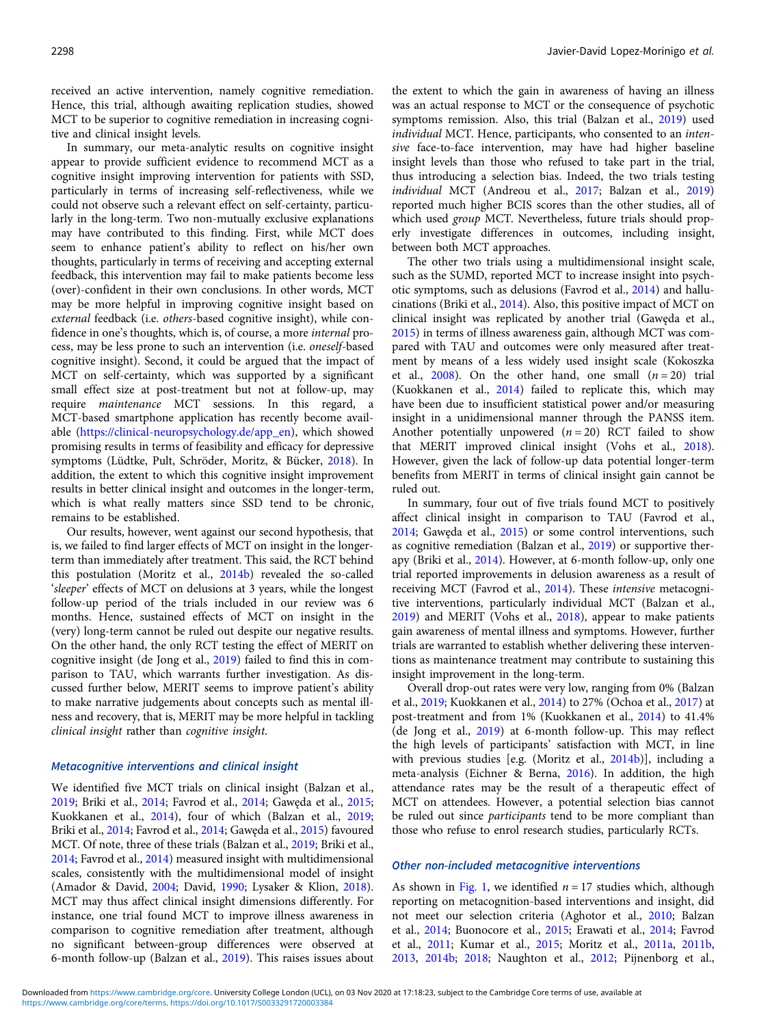received an active intervention, namely cognitive remediation. Hence, this trial, although awaiting replication studies, showed MCT to be superior to cognitive remediation in increasing cognitive and clinical insight levels.

In summary, our meta-analytic results on cognitive insight appear to provide sufficient evidence to recommend MCT as a cognitive insight improving intervention for patients with SSD, particularly in terms of increasing self-reflectiveness, while we could not observe such a relevant effect on self-certainty, particularly in the long-term. Two non-mutually exclusive explanations may have contributed to this finding. First, while MCT does seem to enhance patient's ability to reflect on his/her own thoughts, particularly in terms of receiving and accepting external feedback, this intervention may fail to make patients become less (over)-confident in their own conclusions. In other words, MCT may be more helpful in improving cognitive insight based on external feedback (i.e. others-based cognitive insight), while confidence in one's thoughts, which is, of course, a more internal process, may be less prone to such an intervention (i.e. oneself-based cognitive insight). Second, it could be argued that the impact of MCT on self-certainty, which was supported by a significant small effect size at post-treatment but not at follow-up, may require maintenance MCT sessions. In this regard, a MCT-based smartphone application has recently become available ([https://clinical-neuropsychology.de/app\\_en\)](https://clinical-neuropsychology.de/app_en), which showed promising results in terms of feasibility and efficacy for depressive symptoms (Lüdtke, Pult, Schröder, Moritz, & Bücker, [2018\)](#page-11-0). In addition, the extent to which this cognitive insight improvement results in better clinical insight and outcomes in the longer-term, which is what really matters since SSD tend to be chronic, remains to be established.

Our results, however, went against our second hypothesis, that is, we failed to find larger effects of MCT on insight in the longerterm than immediately after treatment. This said, the RCT behind this postulation (Moritz et al., [2014b](#page-12-0)) revealed the so-called 'sleeper' effects of MCT on delusions at 3 years, while the longest follow-up period of the trials included in our review was 6 months. Hence, sustained effects of MCT on insight in the (very) long-term cannot be ruled out despite our negative results. On the other hand, the only RCT testing the effect of MERIT on cognitive insight (de Jong et al., [2019](#page-11-0)) failed to find this in comparison to TAU, which warrants further investigation. As discussed further below, MERIT seems to improve patient's ability to make narrative judgements about concepts such as mental illness and recovery, that is, MERIT may be more helpful in tackling clinical insight rather than cognitive insight.

### Metacognitive interventions and clinical insight

We identified five MCT trials on clinical insight (Balzan et al., [2019;](#page-11-0) Briki et al., [2014;](#page-11-0) Favrod et al., [2014](#page-11-0); Gawęda et al., [2015](#page-11-0); Kuokkanen et al., [2014\)](#page-11-0), four of which (Balzan et al., [2019](#page-11-0); Briki et al., [2014;](#page-11-0) Favrod et al., [2014;](#page-11-0) Gawęda et al., [2015\)](#page-11-0) favoured MCT. Of note, three of these trials (Balzan et al., [2019;](#page-11-0) Briki et al., [2014;](#page-11-0) Favrod et al., [2014\)](#page-11-0) measured insight with multidimensional scales, consistently with the multidimensional model of insight (Amador & David, [2004](#page-10-0); David, [1990](#page-11-0); Lysaker & Klion, [2018\)](#page-12-0). MCT may thus affect clinical insight dimensions differently. For instance, one trial found MCT to improve illness awareness in comparison to cognitive remediation after treatment, although no significant between-group differences were observed at 6-month follow-up (Balzan et al., [2019](#page-11-0)). This raises issues about

the extent to which the gain in awareness of having an illness was an actual response to MCT or the consequence of psychotic symptoms remission. Also, this trial (Balzan et al., [2019\)](#page-11-0) used individual MCT. Hence, participants, who consented to an intensive face-to-face intervention, may have had higher baseline insight levels than those who refused to take part in the trial, thus introducing a selection bias. Indeed, the two trials testing individual MCT (Andreou et al., [2017](#page-10-0); Balzan et al., [2019](#page-11-0)) reported much higher BCIS scores than the other studies, all of which used group MCT. Nevertheless, future trials should properly investigate differences in outcomes, including insight, between both MCT approaches.

The other two trials using a multidimensional insight scale, such as the SUMD, reported MCT to increase insight into psychotic symptoms, such as delusions (Favrod et al., [2014](#page-11-0)) and hallucinations (Briki et al., [2014\)](#page-11-0). Also, this positive impact of MCT on clinical insight was replicated by another trial (Gawęda et al., [2015\)](#page-11-0) in terms of illness awareness gain, although MCT was compared with TAU and outcomes were only measured after treatment by means of a less widely used insight scale (Kokoszka et al., [2008\)](#page-11-0). On the other hand, one small  $(n = 20)$  trial (Kuokkanen et al., [2014](#page-11-0)) failed to replicate this, which may have been due to insufficient statistical power and/or measuring insight in a unidimensional manner through the PANSS item. Another potentially unpowered  $(n = 20)$  RCT failed to show that MERIT improved clinical insight (Vohs et al., [2018](#page-12-0)). However, given the lack of follow-up data potential longer-term benefits from MERIT in terms of clinical insight gain cannot be ruled out.

In summary, four out of five trials found MCT to positively affect clinical insight in comparison to TAU (Favrod et al., [2014;](#page-11-0) Gawęda et al., [2015](#page-11-0)) or some control interventions, such as cognitive remediation (Balzan et al., [2019](#page-11-0)) or supportive therapy (Briki et al., [2014\)](#page-11-0). However, at 6-month follow-up, only one trial reported improvements in delusion awareness as a result of receiving MCT (Favrod et al., [2014\)](#page-11-0). These intensive metacognitive interventions, particularly individual MCT (Balzan et al., [2019\)](#page-11-0) and MERIT (Vohs et al., [2018](#page-12-0)), appear to make patients gain awareness of mental illness and symptoms. However, further trials are warranted to establish whether delivering these interventions as maintenance treatment may contribute to sustaining this insight improvement in the long-term.

Overall drop-out rates were very low, ranging from 0% (Balzan et al., [2019;](#page-11-0) Kuokkanen et al., [2014\)](#page-11-0) to 27% (Ochoa et al., [2017](#page-12-0)) at post-treatment and from 1% (Kuokkanen et al., [2014\)](#page-11-0) to 41.4% (de Jong et al., [2019\)](#page-11-0) at 6-month follow-up. This may reflect the high levels of participants' satisfaction with MCT, in line with previous studies [e.g. (Moritz et al., [2014b](#page-12-0))], including a meta-analysis (Eichner & Berna, [2016\)](#page-11-0). In addition, the high attendance rates may be the result of a therapeutic effect of MCT on attendees. However, a potential selection bias cannot be ruled out since participants tend to be more compliant than those who refuse to enrol research studies, particularly RCTs.

### Other non-included metacognitive interventions

As shown in [Fig. 1,](#page-3-0) we identified  $n = 17$  studies which, although reporting on metacognition-based interventions and insight, did not meet our selection criteria (Aghotor et al., [2010](#page-10-0); Balzan et al., [2014](#page-10-0); Buonocore et al., [2015](#page-11-0); Erawati et al., [2014;](#page-11-0) Favrod et al., [2011;](#page-11-0) Kumar et al., [2015;](#page-11-0) Moritz et al., [2011a,](#page-12-0) [2011b,](#page-12-0) [2013,](#page-12-0) [2014b;](#page-12-0) [2018;](#page-12-0) Naughton et al., [2012](#page-12-0); Pijnenborg et al.,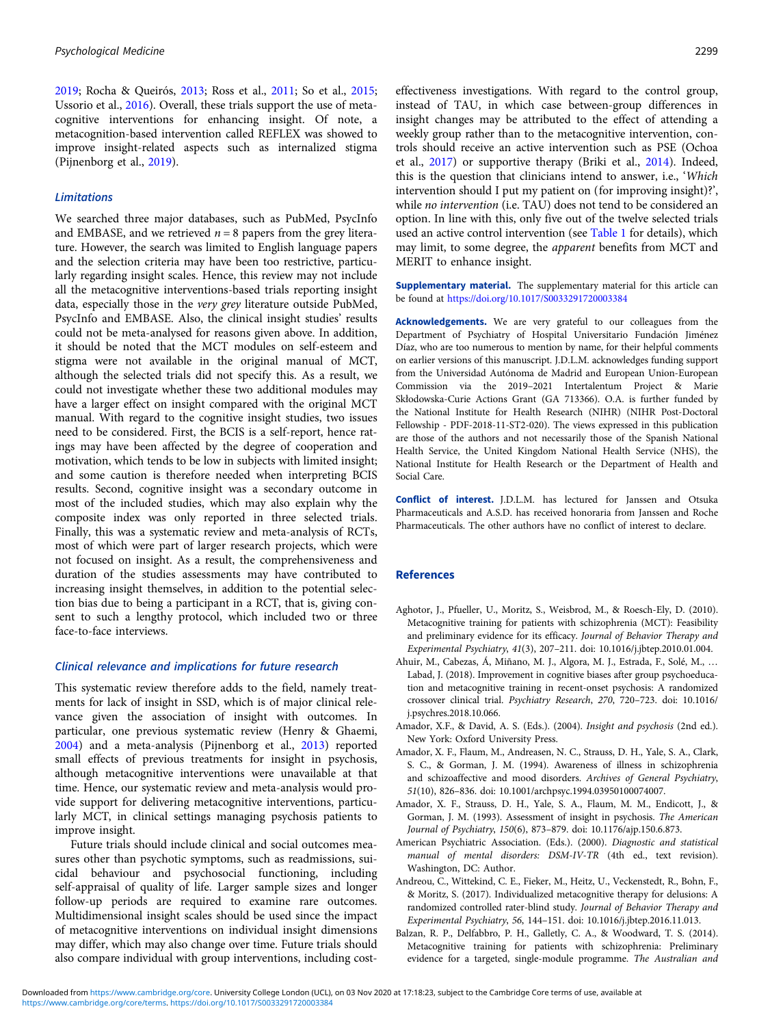<span id="page-10-0"></span>[2019;](#page-12-0) Rocha & Queirós, [2013](#page-12-0); Ross et al., [2011](#page-12-0); So et al., [2015;](#page-12-0) Ussorio et al., [2016](#page-12-0)). Overall, these trials support the use of metacognitive interventions for enhancing insight. Of note, a metacognition-based intervention called REFLEX was showed to improve insight-related aspects such as internalized stigma (Pijnenborg et al., [2019\)](#page-12-0).

### **Limitations**

We searched three major databases, such as PubMed, PsycInfo and EMBASE, and we retrieved  $n = 8$  papers from the grey literature. However, the search was limited to English language papers and the selection criteria may have been too restrictive, particularly regarding insight scales. Hence, this review may not include all the metacognitive interventions-based trials reporting insight data, especially those in the very grey literature outside PubMed, PsycInfo and EMBASE. Also, the clinical insight studies' results could not be meta-analysed for reasons given above. In addition, it should be noted that the MCT modules on self-esteem and stigma were not available in the original manual of MCT, although the selected trials did not specify this. As a result, we could not investigate whether these two additional modules may have a larger effect on insight compared with the original MCT manual. With regard to the cognitive insight studies, two issues need to be considered. First, the BCIS is a self-report, hence ratings may have been affected by the degree of cooperation and motivation, which tends to be low in subjects with limited insight; and some caution is therefore needed when interpreting BCIS results. Second, cognitive insight was a secondary outcome in most of the included studies, which may also explain why the composite index was only reported in three selected trials. Finally, this was a systematic review and meta-analysis of RCTs, most of which were part of larger research projects, which were not focused on insight. As a result, the comprehensiveness and duration of the studies assessments may have contributed to increasing insight themselves, in addition to the potential selection bias due to being a participant in a RCT, that is, giving consent to such a lengthy protocol, which included two or three face-to-face interviews.

#### Clinical relevance and implications for future research

This systematic review therefore adds to the field, namely treatments for lack of insight in SSD, which is of major clinical relevance given the association of insight with outcomes. In particular, one previous systematic review (Henry & Ghaemi, [2004\)](#page-11-0) and a meta-analysis (Pijnenborg et al., [2013](#page-12-0)) reported small effects of previous treatments for insight in psychosis, although metacognitive interventions were unavailable at that time. Hence, our systematic review and meta-analysis would provide support for delivering metacognitive interventions, particularly MCT, in clinical settings managing psychosis patients to improve insight.

Future trials should include clinical and social outcomes measures other than psychotic symptoms, such as readmissions, suicidal behaviour and psychosocial functioning, including self-appraisal of quality of life. Larger sample sizes and longer follow-up periods are required to examine rare outcomes. Multidimensional insight scales should be used since the impact of metacognitive interventions on individual insight dimensions may differ, which may also change over time. Future trials should also compare individual with group interventions, including costeffectiveness investigations. With regard to the control group, instead of TAU, in which case between-group differences in insight changes may be attributed to the effect of attending a weekly group rather than to the metacognitive intervention, controls should receive an active intervention such as PSE (Ochoa et al., [2017](#page-12-0)) or supportive therapy (Briki et al., [2014\)](#page-11-0). Indeed, this is the question that clinicians intend to answer, i.e., 'Which intervention should I put my patient on (for improving insight)?', while no intervention (i.e. TAU) does not tend to be considered an option. In line with this, only five out of the twelve selected trials used an active control intervention (see [Table 1](#page-4-0) for details), which may limit, to some degree, the apparent benefits from MCT and MERIT to enhance insight.

Supplementary material. The supplementary material for this article can be found at <https://doi.org/10.1017/S0033291720003384>

Acknowledgements. We are very grateful to our colleagues from the Department of Psychiatry of Hospital Universitario Fundación Jiménez Díaz, who are too numerous to mention by name, for their helpful comments on earlier versions of this manuscript. J.D.L.M. acknowledges funding support from the Universidad Autónoma de Madrid and European Union-European Commission via the 2019–2021 Intertalentum Project & Marie Skłodowska-Curie Actions Grant (GA 713366). O.A. is further funded by the National Institute for Health Research (NIHR) (NIHR Post-Doctoral Fellowship - PDF-2018-11-ST2-020). The views expressed in this publication are those of the authors and not necessarily those of the Spanish National Health Service, the United Kingdom National Health Service (NHS), the National Institute for Health Research or the Department of Health and Social Care.

Conflict of interest. J.D.L.M. has lectured for Janssen and Otsuka Pharmaceuticals and A.S.D. has received honoraria from Janssen and Roche Pharmaceuticals. The other authors have no conflict of interest to declare.

### References

- Aghotor, J., Pfueller, U., Moritz, S., Weisbrod, M., & Roesch-Ely, D. (2010). Metacognitive training for patients with schizophrenia (MCT): Feasibility and preliminary evidence for its efficacy. Journal of Behavior Therapy and Experimental Psychiatry, 41(3), 207–211. doi: 10.1016/j.jbtep.2010.01.004.
- Ahuir, M., Cabezas, Á, Miñano, M. J., Algora, M. J., Estrada, F., Solé, M., … Labad, J. (2018). Improvement in cognitive biases after group psychoeducation and metacognitive training in recent-onset psychosis: A randomized crossover clinical trial. Psychiatry Research, 270, 720–723. doi: 10.1016/ j.psychres.2018.10.066.
- Amador, X.F., & David, A. S. (Eds.). (2004). Insight and psychosis (2nd ed.). New York: Oxford University Press.
- Amador, X. F., Flaum, M., Andreasen, N. C., Strauss, D. H., Yale, S. A., Clark, S. C., & Gorman, J. M. (1994). Awareness of illness in schizophrenia and schizoaffective and mood disorders. Archives of General Psychiatry, 51(10), 826–836. doi: 10.1001/archpsyc.1994.03950100074007.
- Amador, X. F., Strauss, D. H., Yale, S. A., Flaum, M. M., Endicott, J., & Gorman, J. M. (1993). Assessment of insight in psychosis. The American Journal of Psychiatry, 150(6), 873–879. doi: 10.1176/ajp.150.6.873.
- American Psychiatric Association. (Eds.). (2000). Diagnostic and statistical manual of mental disorders: DSM-IV-TR (4th ed., text revision). Washington, DC: Author.
- Andreou, C., Wittekind, C. E., Fieker, M., Heitz, U., Veckenstedt, R., Bohn, F., & Moritz, S. (2017). Individualized metacognitive therapy for delusions: A randomized controlled rater-blind study. Journal of Behavior Therapy and Experimental Psychiatry, 56, 144–151. doi: 10.1016/j.jbtep.2016.11.013.
- Balzan, R. P., Delfabbro, P. H., Galletly, C. A., & Woodward, T. S. (2014). Metacognitive training for patients with schizophrenia: Preliminary evidence for a targeted, single-module programme. The Australian and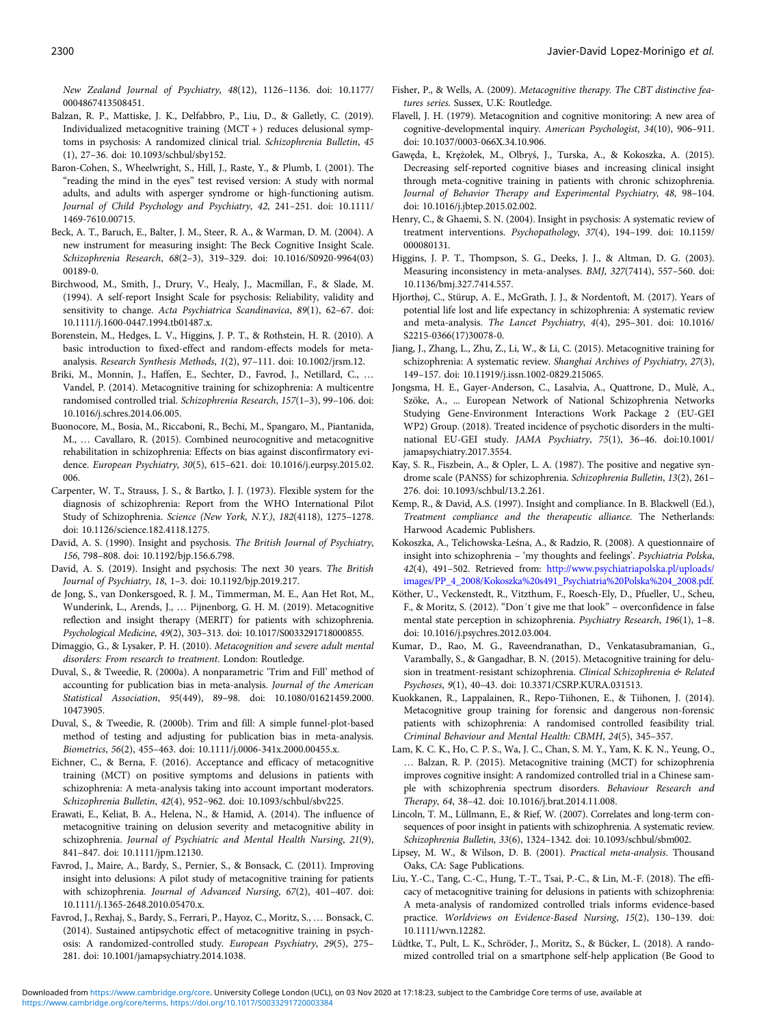<span id="page-11-0"></span>New Zealand Journal of Psychiatry, 48(12), 1126–1136. doi: 10.1177/ 0004867413508451.

- Balzan, R. P., Mattiske, J. K., Delfabbro, P., Liu, D., & Galletly, C. (2019). Individualized metacognitive training (MCT + ) reduces delusional symptoms in psychosis: A randomized clinical trial. Schizophrenia Bulletin, 45 (1), 27–36. doi: 10.1093/schbul/sby152.
- Baron-Cohen, S., Wheelwright, S., Hill, J., Raste, Y., & Plumb, I. (2001). The "reading the mind in the eyes" test revised version: A study with normal adults, and adults with asperger syndrome or high-functioning autism. Journal of Child Psychology and Psychiatry, 42, 241–251. doi: 10.1111/ 1469-7610.00715.
- Beck, A. T., Baruch, E., Balter, J. M., Steer, R. A., & Warman, D. M. (2004). A new instrument for measuring insight: The Beck Cognitive Insight Scale. Schizophrenia Research, 68(2–3), 319–329. doi: 10.1016/S0920-9964(03) 00189-0.
- Birchwood, M., Smith, J., Drury, V., Healy, J., Macmillan, F., & Slade, M. (1994). A self-report Insight Scale for psychosis: Reliability, validity and sensitivity to change. Acta Psychiatrica Scandinavica, 89(1), 62–67. doi: 10.1111/j.1600-0447.1994.tb01487.x.
- Borenstein, M., Hedges, L. V., Higgins, J. P. T., & Rothstein, H. R. (2010). A basic introduction to fixed-effect and random-effects models for metaanalysis. Research Synthesis Methods, 1(2), 97–111. doi: 10.1002/jrsm.12.
- Briki, M., Monnin, J., Haffen, E., Sechter, D., Favrod, J., Netillard, C., … Vandel, P. (2014). Metacognitive training for schizophrenia: A multicentre randomised controlled trial. Schizophrenia Research, 157(1–3), 99–106. doi: 10.1016/j.schres.2014.06.005.
- Buonocore, M., Bosia, M., Riccaboni, R., Bechi, M., Spangaro, M., Piantanida, M., … Cavallaro, R. (2015). Combined neurocognitive and metacognitive rehabilitation in schizophrenia: Effects on bias against disconfirmatory evidence. European Psychiatry, 30(5), 615–621. doi: 10.1016/j.eurpsy.2015.02. 006.
- Carpenter, W. T., Strauss, J. S., & Bartko, J. J. (1973). Flexible system for the diagnosis of schizophrenia: Report from the WHO International Pilot Study of Schizophrenia. Science (New York, N.Y.), 182(4118), 1275–1278. doi: 10.1126/science.182.4118.1275.
- David, A. S. (1990). Insight and psychosis. The British Journal of Psychiatry, 156, 798–808. doi: 10.1192/bjp.156.6.798.
- David, A. S. (2019). Insight and psychosis: The next 30 years. The British Journal of Psychiatry, 18, 1–3. doi: 10.1192/bjp.2019.217.
- de Jong, S., van Donkersgoed, R. J. M., Timmerman, M. E., Aan Het Rot, M., Wunderink, L., Arends, J., … Pijnenborg, G. H. M. (2019). Metacognitive reflection and insight therapy (MERIT) for patients with schizophrenia. Psychological Medicine, 49(2), 303–313. doi: 10.1017/S0033291718000855.
- Dimaggio, G., & Lysaker, P. H. (2010). Metacognition and severe adult mental disorders: From research to treatment. London: Routledge.
- Duval, S., & Tweedie, R. (2000a). A nonparametric 'Trim and Fill' method of accounting for publication bias in meta-analysis. Journal of the American Statistical Association, 95(449), 89–98. doi: 10.1080/01621459.2000. 10473905.
- Duval, S., & Tweedie, R. (2000b). Trim and fill: A simple funnel-plot-based method of testing and adjusting for publication bias in meta-analysis. Biometrics, 56(2), 455–463. doi: 10.1111/j.0006-341x.2000.00455.x.
- Eichner, C., & Berna, F. (2016). Acceptance and efficacy of metacognitive training (MCT) on positive symptoms and delusions in patients with schizophrenia: A meta-analysis taking into account important moderators. Schizophrenia Bulletin, 42(4), 952–962. doi: 10.1093/schbul/sbv225.
- Erawati, E., Keliat, B. A., Helena, N., & Hamid, A. (2014). The influence of metacognitive training on delusion severity and metacognitive ability in schizophrenia. Journal of Psychiatric and Mental Health Nursing, 21(9), 841–847. doi: 10.1111/jpm.12130.
- Favrod, J., Maire, A., Bardy, S., Pernier, S., & Bonsack, C. (2011). Improving insight into delusions: A pilot study of metacognitive training for patients with schizophrenia. Journal of Advanced Nursing, 67(2), 401–407. doi: 10.1111/j.1365-2648.2010.05470.x.
- Favrod, J., Rexhaj, S., Bardy, S., Ferrari, P., Hayoz, C., Moritz, S., … Bonsack, C. (2014). Sustained antipsychotic effect of metacognitive training in psychosis: A randomized-controlled study. European Psychiatry, 29(5), 275– 281. doi: 10.1001/jamapsychiatry.2014.1038.
- Fisher, P., & Wells, A. (2009). Metacognitive therapy. The CBT distinctive features series. Sussex, U.K: Routledge.
- Flavell, J. H. (1979). Metacognition and cognitive monitoring: A new area of cognitive-developmental inquiry. American Psychologist, 34(10), 906–911. doi: 10.1037/0003-066X.34.10.906.
- Gawęda, Ł, Krężołek, M., Olbryś, J., Turska, A., & Kokoszka, A. (2015). Decreasing self-reported cognitive biases and increasing clinical insight through meta-cognitive training in patients with chronic schizophrenia. Journal of Behavior Therapy and Experimental Psychiatry, 48, 98–104. doi: 10.1016/j.jbtep.2015.02.002.
- Henry, C., & Ghaemi, S. N. (2004). Insight in psychosis: A systematic review of treatment interventions. Psychopathology, 37(4), 194–199. doi: 10.1159/ 000080131.
- Higgins, J. P. T., Thompson, S. G., Deeks, J. J., & Altman, D. G. (2003). Measuring inconsistency in meta-analyses. BMJ, 327(7414), 557–560. doi: 10.1136/bmj.327.7414.557.
- Hjorthøj, C., Stürup, A. E., McGrath, J. J., & Nordentoft, M. (2017). Years of potential life lost and life expectancy in schizophrenia: A systematic review and meta-analysis. The Lancet Psychiatry, 4(4), 295–301. doi: 10.1016/ S2215-0366(17)30078-0.
- Jiang, J., Zhang, L., Zhu, Z., Li, W., & Li, C. (2015). Metacognitive training for schizophrenia: A systematic review. Shanghai Archives of Psychiatry, 27(3), 149–157. doi: 10.11919/j.issn.1002-0829.215065.
- Jongsma, H. E., Gayer-Anderson, C., Lasalvia, A., Quattrone, D., Mulè, A., Szöke, A., ... European Network of National Schizophrenia Networks Studying Gene-Environment Interactions Work Package 2 (EU-GEI WP2) Group. (2018). Treated incidence of psychotic disorders in the multinational EU-GEI study. JAMA Psychiatry, 75(1), 36–46. doi:10.1001/ jamapsychiatry.2017.3554.
- Kay, S. R., Fiszbein, A., & Opler, L. A. (1987). The positive and negative syndrome scale (PANSS) for schizophrenia. Schizophrenia Bulletin, 13(2), 261– 276. doi: 10.1093/schbul/13.2.261.
- Kemp, R., & David, A.S. (1997). Insight and compliance. In B. Blackwell (Ed.), Treatment compliance and the therapeutic alliance. The Netherlands: Harwood Academic Publishers.
- Kokoszka, A., Telichowska-Leśna, A., & Radzio, R. (2008). A questionnaire of insight into schizophrenia – 'my thoughts and feelings'. Psychiatria Polska, 42(4), 491–502. Retrieved from: [http://www.psychiatriapolska.pl/uploads/](http://www.psychiatriapolska.pl/uploads/images/PP_4_2008/Kokoszka%20s491_Psychiatria%20Polska%204_2008.pdf) [images/PP\\_4\\_2008/Kokoszka%20s491\\_Psychiatria%20Polska%204\\_2008.pdf.](http://www.psychiatriapolska.pl/uploads/images/PP_4_2008/Kokoszka%20s491_Psychiatria%20Polska%204_2008.pdf)
- Köther, U., Veckenstedt, R., Vitzthum, F., Roesch-Ely, D., Pfueller, U., Scheu, F., & Moritz, S. (2012). "Don´t give me that look" – overconfidence in false mental state perception in schizophrenia. Psychiatry Research, 196(1), 1–8. doi: 10.1016/j.psychres.2012.03.004.
- Kumar, D., Rao, M. G., Raveendranathan, D., Venkatasubramanian, G., Varambally, S., & Gangadhar, B. N. (2015). Metacognitive training for delusion in treatment-resistant schizophrenia. Clinical Schizophrenia & Related Psychoses, 9(1), 40–43. doi: 10.3371/CSRP.KURA.031513.
- Kuokkanen, R., Lappalainen, R., Repo-Tiihonen, E., & Tiihonen, J. (2014). Metacognitive group training for forensic and dangerous non-forensic patients with schizophrenia: A randomised controlled feasibility trial. Criminal Behaviour and Mental Health: CBMH, 24(5), 345–357.
- Lam, K. C. K., Ho, C. P. S., Wa, J. C., Chan, S. M. Y., Yam, K. K. N., Yeung, O., … Balzan, R. P. (2015). Metacognitive training (MCT) for schizophrenia improves cognitive insight: A randomized controlled trial in a Chinese sample with schizophrenia spectrum disorders. Behaviour Research and Therapy, 64, 38–42. doi: 10.1016/j.brat.2014.11.008.
- Lincoln, T. M., Lüllmann, E., & Rief, W. (2007). Correlates and long-term consequences of poor insight in patients with schizophrenia. A systematic review. Schizophrenia Bulletin, 33(6), 1324–1342. doi: 10.1093/schbul/sbm002.
- Lipsey, M. W., & Wilson, D. B. (2001). Practical meta-analysis. Thousand Oaks, CA: Sage Publications.
- Liu, Y.-C., Tang, C.-C., Hung, T.-T., Tsai, P.-C., & Lin, M.-F. (2018). The efficacy of metacognitive training for delusions in patients with schizophrenia: A meta-analysis of randomized controlled trials informs evidence-based practice. Worldviews on Evidence-Based Nursing, 15(2), 130–139. doi: 10.1111/wvn.12282.
- Lüdtke, T., Pult, L. K., Schröder, J., Moritz, S., & Bücker, L. (2018). A randomized controlled trial on a smartphone self-help application (Be Good to